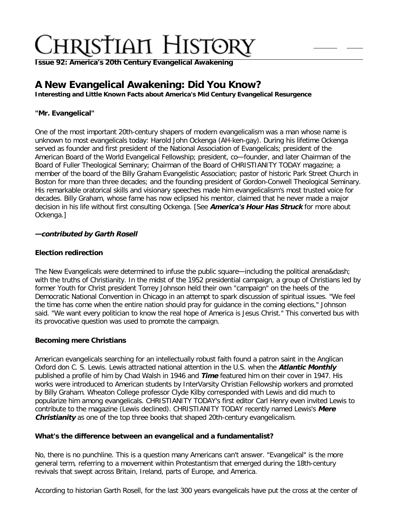**Issue 92: America'[s 20th Century Evangelical Awakening](http://ctlstaging/ch/cdrom/collection.html?id=3473)**

# **A New Evangelical Awakening: Did You Know?**

**Interesting and Little Known Facts about America's Mid Century Evangelical Resurgence**

# **"Mr. Evangelical"**

One of the most important 20th-century shapers of modern evangelicalism was a man whose name is unknown to most evangelicals today: Harold John Ockenga (AH-ken-gay). During his lifetime Ockenga served as founder and first president of the National Association of Evangelicals; president of the American Board of the World Evangelical Fellowship; president, co—founder, and later Chairman of the Board of Fuller Theological Seminary; Chairman of the Board of CHRISTIANITY TODAY magazine; a member of the board of the Billy Graham Evangelistic Association; pastor of historic Park Street Church in Boston for more than three decades; and the founding president of Gordon-Conwell Theological Seminary. His remarkable oratorical skills and visionary speeches made him evangelicalism's most trusted voice for decades. Billy Graham, whose fame has now eclipsed his mentor, claimed that he never made a major decision in his life without first consulting Ockenga. [See **America's Hour Has Struck** for more about Ockenga.]

# **—contributed by Garth Rosell**

# **Election redirection**

The New Evangelicals were determined to infuse the public square—including the political arena‐ with the truths of Christianity. In the midst of the 1952 presidential campaign, a group of Christians led by former Youth for Christ president Torrey Johnson held their own "campaign" on the heels of the Democratic National Convention in Chicago in an attempt to spark discussion of spiritual issues. "We feel the time has come when the entire nation should pray for guidance in the coming elections," Johnson said. "We want every politician to know the real hope of America is Jesus Christ." This converted bus with its provocative question was used to promote the campaign.

# **Becoming mere Christians**

American evangelicals searching for an intellectually robust faith found a patron saint in the Anglican Oxford don C. S. Lewis. Lewis attracted national attention in the U.S. when the **Atlantic Monthly** published a profile of him by Chad Walsh in 1946 and **Time** featured him on their cover in 1947. His works were introduced to American students by InterVarsity Christian Fellowship workers and promoted by Billy Graham. Wheaton College professor Clyde Kilby corresponded with Lewis and did much to popularize him among evangelicals. CHRISTIANITY TODAY's first editor Carl Henry even invited Lewis to contribute to the magazine (Lewis declined). CHRISTIANITY TODAY recently named Lewis's **Mere Christianity** as one of the top three books that shaped 20th-century evangelicalism.

## **What's the difference between an evangelical and a fundamentalist?**

No, there is no punchline. This is a question many Americans can't answer. "Evangelical" is the more general term, referring to a movement within Protestantism that emerged during the 18th-century revivals that swept across Britain, Ireland, parts of Europe, and America.

According to historian Garth Rosell, for the last 300 years evangelicals have put the cross at the center of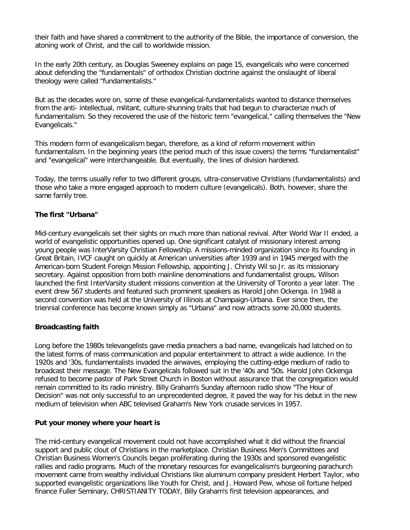their faith and have shared a commitment to the authority of the Bible, the importance of conversion, the atoning work of Christ, and the call to worldwide mission.

In the early 20th century, as Douglas Sweeney explains on page 15, evangelicals who were concerned about defending the "fundamentals" of orthodox Christian doctrine against the onslaught of liberal theology were called "fundamentalists."

But as the decades wore on, some of these evangelical-fundamentalists wanted to distance themselves from the anti- intellectual, militant, culture-shunning traits that had begun to characterize much of fundamentalism. So they recovered the use of the historic term "evangelical," calling themselves the "New Evangelicals."

This modern form of evangelicalism began, therefore, as a kind of reform movement within fundamentalism. In the beginning years (the period much of this issue covers) the terms "fundamentalist" and "evangelical" were interchangeable. But eventually, the lines of division hardened.

Today, the terms usually refer to two different groups, ultra-conservative Christians (fundamentalists) and those who take a more engaged approach to modern culture (evangelicals). Both, however, share the same family tree.

## **The first "Urbana"**

Mid-century evangelicals set their sights on much more than national revival. After World War II ended, a world of evangelistic opportunities opened up. One significant catalyst of missionary interest among young people was InterVarsity Christian Fellowship. A missions-minded organization since its founding in Great Britain, IVCF caught on quickly at American universities after 1939 and in 1945 merged with the American-born Student Foreign Mission Fellowship, appointing J. Christy Wil so Jr. as its missionary secretary. Against opposition from both mainline denominations and fundamentalist groups, Wilson launched the first InterVarsity student missions convention at the University of Toronto a year later. The event drew 567 students and featured such prominent speakers as Harold John Ockenga. In 1948 a second convention was held at the University of Illinois at Champaign-Urbana. Ever since then, the triennial conference has become known simply as "Urbana" and now attracts some 20,000 students.

## **Broadcasting faith**

Long before the 1980s televangelists gave media preachers a bad name, evangelicals had latched on to the latest forms of mass communication and popular entertainment to attract a wide audience. In the 1920s and '30s, fundamentalists invaded the airwaves, employing the cutting-edge medium of radio to broadcast their message. The New Evangelicals followed suit in the '40s and '50s. Harold John Ockenga refused to become pastor of Park Street Church in Boston without assurance that the congregation would remain committed to its radio ministry. Billy Graham's Sunday afternoon radio show "The Hour of Decision" was not only successful to an unprecedented degree, it paved the way for his debut in the new medium of television when ABC televised Graham's New York crusade services in 1957.

## **Put your money where your heart is**

The mid-century evangelical movement could not have accomplished what it did without the financial support and public clout of Christians in the marketplace. Christian Business Men's Committees and Christian Business Women's Councils began proliferating during the 1930s and sponsored evangelistic rallies and radio programs. Much of the monetary resources for evangelicalism's burgeoning parachurch movement came from wealthy individual Christians like aluminum company president Herbert Taylor, who supported evangelistic organizations like Youth for Christ, and J. Howard Pew, whose oil fortune helped finance Fuller Seminary, CHRISTIANITY TODAY, Billy Graham's first television appearances, and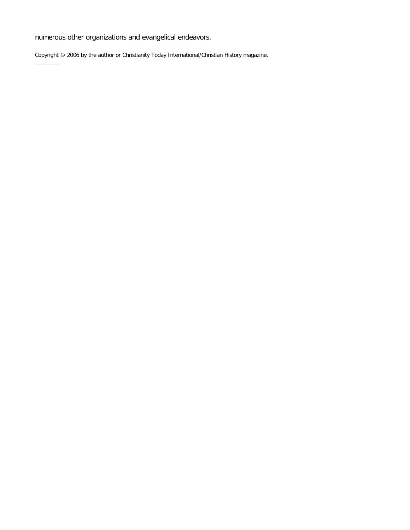numerous other organizations and evangelical endeavors.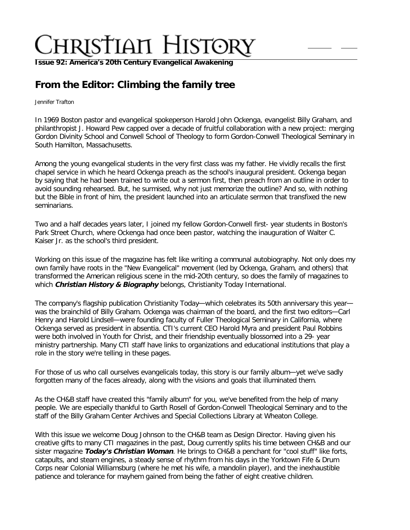**Issue 92: America'[s 20th Century Evangelical Awakening](http://ctlstaging/ch/cdrom/collection.html?id=3473)**

# **From the Editor: Climbing the family tree**

Jennifer Trafton

In 1969 Boston pastor and evangelical spokeperson Harold John Ockenga, evangelist Billy Graham, and philanthropist J. Howard Pew capped over a decade of fruitful collaboration with a new project: merging Gordon Divinity School and Conwell School of Theology to form Gordon-Conwell Theological Seminary in South Hamilton, Massachusetts.

Among the young evangelical students in the very first class was my father. He vividly recalls the first chapel service in which he heard Ockenga preach as the school's inaugural president. Ockenga began by saying that he had been trained to write out a sermon first, then preach from an outline in order to avoid sounding rehearsed. But, he surmised, why not just memorize the outline? And so, with nothing but the Bible in front of him, the president launched into an articulate sermon that transfixed the new seminarians.

Two and a half decades years later, I joined my fellow Gordon-Conwell first- year students in Boston's Park Street Church, where Ockenga had once been pastor, watching the inauguration of Walter C. Kaiser Jr. as the school's third president.

Working on this issue of the magazine has felt like writing a communal autobiography. Not only does my own family have roots in the "New Evangelical" movement (led by Ockenga, Graham, and others) that transformed the American religious scene in the mid-2Oth century, so does the family of magazines to which **Christian History & Biography** belongs, Christianity Today International.

The company's flagship publication Christianity Today—which celebrates its 50th anniversary this year was the brainchild of Billy Graham. Ockenga was chairman of the board, and the first two editors—Carl Henry and Harold Lindsell—were founding faculty of Fuller Theological Seminary in California, where Ockenga served as president in absentia. CTI's current CEO Harold Myra and president Paul Robbins were both involved in Youth for Christ, and their friendship eventually blossomed into a 29- year ministry partnership. Many CTI staff have links to organizations and educational institutions that play a role in the story we're telling in these pages.

For those of us who call ourselves evangelicals today, this story is our family album—yet we've sadly forgotten many of the faces already, along with the visions and goals that illuminated them.

As the CH&B staff have created this "family album" for you, we've benefited from the help of many people. We are especially thankful to Garth Rosell of Gordon-Conwell Theological Seminary and to the staff of the Billy Graham Center Archives and Special Collections Library at Wheaton College.

With this issue we welcome Doug Johnson to the CH&B team as Design Director. Having given his creative gifts to many CTI magazines in the past, Doug currently splits his time between CH&B and our sister magazine **Today's Christian Woman**. He brings to CH&B a penchant for "cool stuff" like forts, catapults, and steam engines, a steady sense of rhythm from his days in the Yorktown Fife & Drum Corps near Colonial Williamsburg (where he met his wife, a mandolin player), and the inexhaustible patience and tolerance for mayhem gained from being the father of eight creative children.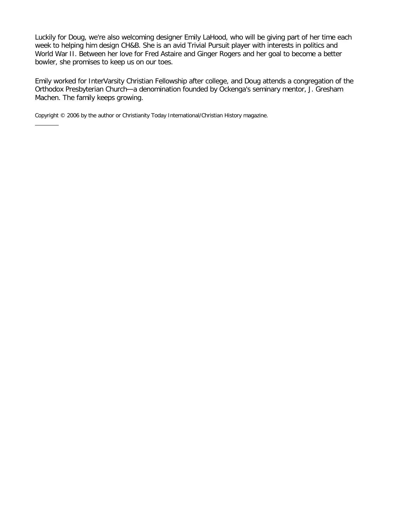Luckily for Doug, we're also welcoming designer Emily LaHood, who will be giving part of her time each week to helping him design CH&B. She is an avid Trivial Pursuit player with interests in politics and World War II. Between her love for Fred Astaire and Ginger Rogers and her goal to become a better bowler, she promises to keep us on our toes.

Emily worked for InterVarsity Christian Fellowship after college, and Doug attends a congregation of the Orthodox Presbyterian Church—a denomination founded by Ockenga's seminary mentor, J. Gresham Machen. The family keeps growing.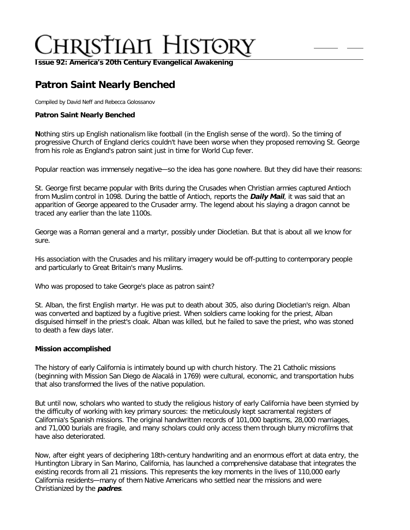**Issue 92: America'[s 20th Century Evangelical Awakening](http://ctlstaging/ch/cdrom/collection.html?id=3473)**

# **Patron Saint Nearly Benched**

Compiled by David Neff and Rebecca Golossanov

## **Patron Saint Nearly Benched**

**N**othing stirs up English nationalism like football (in the English sense of the word). So the timing of progressive Church of England clerics couldn't have been worse when they proposed removing St. George from his role as England's patron saint just in time for World Cup fever.

Popular reaction was immensely negative—so the idea has gone nowhere. But they did have their reasons:

St. George first became popular with Brits during the Crusades when Christian armies captured Antioch from Muslim control in 1098. During the battle of Antioch, reports the **Daily Mail**, it was said that an apparition of George appeared to the Crusader army. The legend about his slaying a dragon cannot be traced any earlier than the late 1100s.

George was a Roman general and a martyr, possibly under Diocletian. But that is about all we know for sure.

His association with the Crusades and his military imagery would be off-putting to contemporary people and particularly to Great Britain's many Muslims.

Who was proposed to take George's place as patron saint?

St. Alban, the first English martyr. He was put to death about 305, also during Diocletian's reign. Alban was converted and baptized by a fugitive priest. When soldiers came looking for the priest, Alban disguised himself in the priest's cloak. Alban was killed, but he failed to save the priest, who was stoned to death a few days later.

#### **Mission accomplished**

The history of early California is intimately bound up with church history. The 21 Catholic missions (beginning with Mission San Diego de Alacalá in 1769) were cultural, economic, and transportation hubs that also transformed the lives of the native population.

But until now, scholars who wanted to study the religious history of early California have been stymied by the difficulty of working with key primary sources: the meticulously kept sacramental registers of California's Spanish missions. The original handwritten records of 101,000 baptisms, 28,000 marriages, and 71,000 burials are fragile, and many scholars could only access them through blurry microfilms that have also deteriorated.

Now, after eight years of deciphering 18th-century handwriting and an enormous effort at data entry, the Huntington Library in San Marino, California, has launched a comprehensive database that integrates the existing records from all 21 missions. This represents the key moments in the lives of 110,000 early California residents—many of them Native Americans who settled near the missions and were Christianized by the **padres**.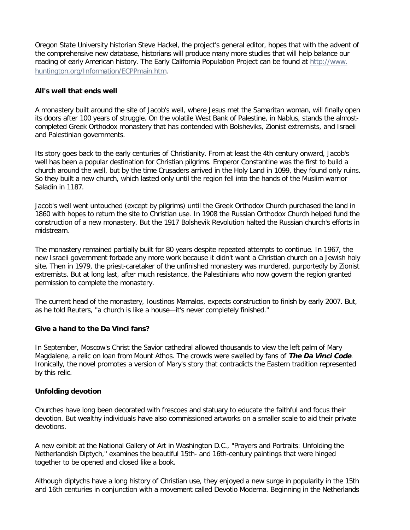Oregon State University historian Steve Hackel, the project's general editor, hopes that with the advent of the comprehensive new database, historians will produce many more studies that will help balance our reading of early American history. The Early California Population Project can be found at [http://www.](http://www.huntington.org/Information/ECPPmain.htm) [huntington.org/Information/ECPPmain.htm](http://www.huntington.org/Information/ECPPmain.htm).

### **All's well that ends well**

A monastery built around the site of Jacob's well, where Jesus met the Samaritan woman, will finally open its doors after 100 years of struggle. On the volatile West Bank of Palestine, in Nablus, stands the almostcompleted Greek Orthodox monastery that has contended with Bolsheviks, Zionist extremists, and Israeli and Palestinian governments.

Its story goes back to the early centuries of Christianity. From at least the 4th century onward, Jacob's well has been a popular destination for Christian pilgrims. Emperor Constantine was the first to build a church around the well, but by the time Crusaders arrived in the Holy Land in 1099, they found only ruins. So they built a new church, which lasted only until the region fell into the hands of the Muslim warrior Saladin in 1187.

Jacob's well went untouched (except by pilgrims) until the Greek Orthodox Church purchased the land in 1860 with hopes to return the site to Christian use. In 1908 the Russian Orthodox Church helped fund the construction of a new monastery. But the 1917 Bolshevik Revolution halted the Russian church's efforts in midstream.

The monastery remained partially built for 80 years despite repeated attempts to continue. In 1967, the new Israeli government forbade any more work because it didn't want a Christian church on a Jewish holy site. Then in 1979, the priest-caretaker of the unfinished monastery was murdered, purportedly by Zionist extremists. But at long last, after much resistance, the Palestinians who now govern the region granted permission to complete the monastery.

The current head of the monastery, Ioustinos Mamalos, expects construction to finish by early 2007. But, as he told Reuters, "a church is like a house—it's never completely finished."

#### **Give a hand to the Da Vinci fans?**

In September, Moscow's Christ the Savior cathedral allowed thousands to view the left palm of Mary Magdalene, a relic on loan from Mount Athos. The crowds were swelled by fans of **The Da Vinci Code**. Ironically, the novel promotes a version of Mary's story that contradicts the Eastern tradition represented by this relic.

#### **Unfolding devotion**

Churches have long been decorated with frescoes and statuary to educate the faithful and focus their devotion. But wealthy individuals have also commissioned artworks on a smaller scale to aid their private devotions.

A new exhibit at the National Gallery of Art in Washington D.C., "Prayers and Portraits: Unfolding the Netherlandish Diptych," examines the beautiful 15th- and 16th-century paintings that were hinged together to be opened and closed like a book.

Although diptychs have a long history of Christian use, they enjoyed a new surge in popularity in the 15th and 16th centuries in conjunction with a movement called Devotio Moderna. Beginning in the Netherlands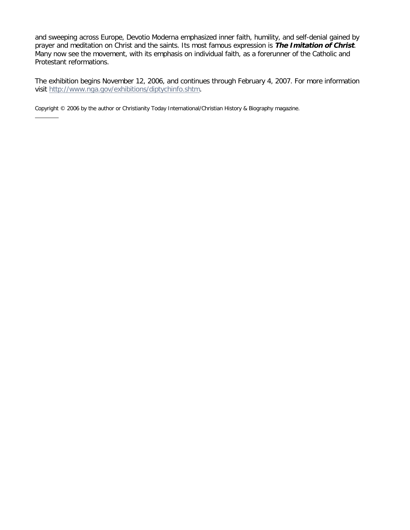and sweeping across Europe, Devotio Moderna emphasized inner faith, humility, and self-denial gained by prayer and meditation on Christ and the saints. Its most famous expression is **The Imitation of Christ**. Many now see the movement, with its emphasis on individual faith, as a forerunner of the Catholic and Protestant reformations.

The exhibition begins November 12, 2006, and continues through February 4, 2007. For more information visit<http://www.nga.gov/exhibitions/diptychinfo.shtm>.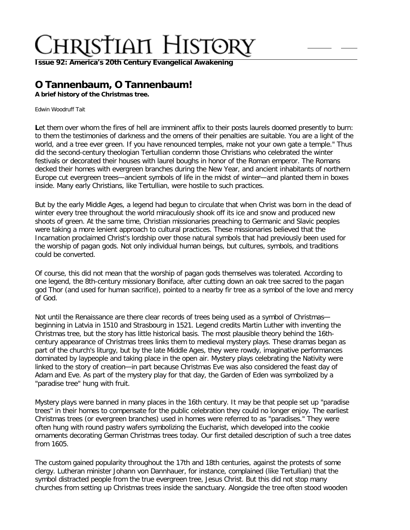**Issue 92: America'[s 20th Century Evangelical Awakening](http://ctlstaging/ch/cdrom/collection.html?id=3473)**

# **O Tannenbaum, O Tannenbaum!**

**A brief history of the Christmas tree.**

Edwin Woodruff Tait

Let them over whom the fires of hell are imminent affix to their posts laurels doomed presently to burn: to them the testimonies of darkness and the omens of their penalties are suitable. You are a light of the world, and a tree ever green. If you have renounced temples, make not your own gate a temple." Thus did the second-century theologian Tertullian condemn those Christians who celebrated the winter festivals or decorated their houses with laurel boughs in honor of the Roman emperor. The Romans decked their homes with evergreen branches during the New Year, and ancient inhabitants of northern Europe cut evergreen trees—ancient symbols of life in the midst of winter—and planted them in boxes inside. Many early Christians, like Tertullian, were hostile to such practices.

But by the early Middle Ages, a legend had begun to circulate that when Christ was born in the dead of winter every tree throughout the world miraculously shook off its ice and snow and produced new shoots of green. At the same time, Christian missionaries preaching to Germanic and Slavic peoples were taking a more lenient approach to cultural practices. These missionaries believed that the Incarnation proclaimed Christ's lordship over those natural symbols that had previously been used for the worship of pagan gods. Not only individual human beings, but cultures, symbols, and traditions could be converted.

Of course, this did not mean that the worship of pagan gods themselves was tolerated. According to one legend, the 8th-century missionary Boniface, after cutting down an oak tree sacred to the pagan god Thor (and used for human sacrifice), pointed to a nearby fir tree as a symbol of the love and mercy of God.

Not until the Renaissance are there clear records of trees being used as a symbol of Christmas beginning in Latvia in 1510 and Strasbourg in 1521. Legend credits Martin Luther with inventing the Christmas tree, but the story has little historical basis. The most plausible theory behind the 16thcentury appearance of Christmas trees links them to medieval mystery plays. These dramas began as part of the church's liturgy, but by the late Middle Ages, they were rowdy, imaginative performances dominated by laypeople and taking place in the open air. Mystery plays celebrating the Nativity were linked to the story of creation—in part because Christmas Eve was also considered the feast day of Adam and Eve. As part of the mystery play for that day, the Garden of Eden was symbolized by a "paradise tree" hung with fruit.

Mystery plays were banned in many places in the 16th century. It may be that people set up "paradise trees" in their homes to compensate for the public celebration they could no longer enjoy. The earliest Christmas trees (or evergreen branches) used in homes were referred to as "paradises." They were often hung with round pastry wafers symbolizing the Eucharist, which developed into the cookie ornaments decorating German Christmas trees today. Our first detailed description of such a tree dates from 1605.

The custom gained popularity throughout the 17th and 18th centuries, against the protests of some clergy. Lutheran minister Johann von Dannhauer, for instance, complained (like Tertullian) that the symbol distracted people from the true evergreen tree, Jesus Christ. But this did not stop many churches from setting up Christmas trees inside the sanctuary. Alongside the tree often stood wooden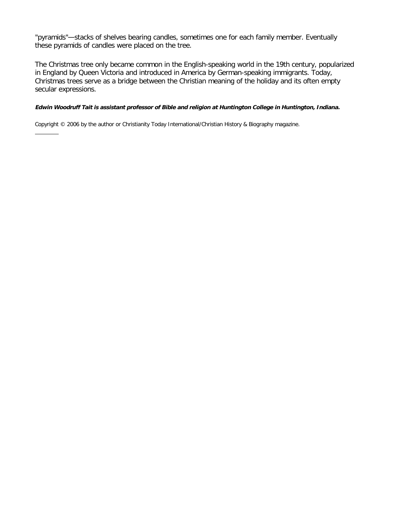"pyramids"—stacks of shelves bearing candles, sometimes one for each family member. Eventually these pyramids of candles were placed on the tree.

The Christmas tree only became common in the English-speaking world in the 19th century, popularized in England by Queen Victoria and introduced in America by German-speaking immigrants. Today, Christmas trees serve as a bridge between the Christian meaning of the holiday and its often empty secular expressions.

#### **Edwin Woodruff Tait is assistant professor of Bible and religion at Huntington College in Huntington, Indiana.**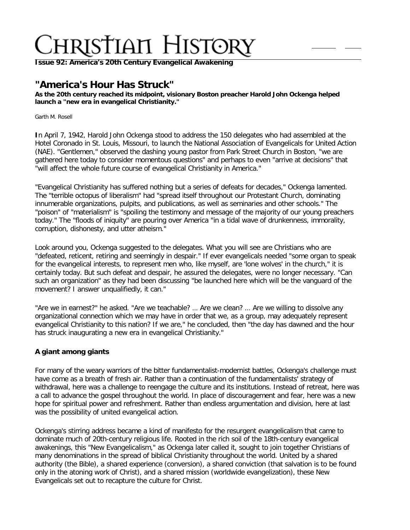**Issue 92: America'[s 20th Century Evangelical Awakening](http://ctlstaging/ch/cdrom/collection.html?id=3473)**

# **"America's Hour Has Struck"**

**As the 20th century reached its midpoint, visionary Boston preacher Harold John Ockenga helped launch a "new era in evangelical Christianity."**

Garth M. Rosell

**I**n April 7, 1942, Harold John Ockenga stood to address the 150 delegates who had assembled at the Hotel Coronado in St. Louis, Missouri, to launch the National Association of Evangelicals for United Action (NAE). "Gentlemen," observed the dashing young pastor from Park Street Church in Boston, "we are gathered here today to consider momentous questions" and perhaps to even "arrive at decisions" that "will affect the whole future course of evangelical Christianity in America."

"Evangelical Christianity has suffered nothing but a series of defeats for decades," Ockenga lamented. The "terrible octopus of liberalism" had "spread itself throughout our Protestant Church, dominating innumerable organizations, pulpits, and publications, as well as seminaries and other schools." The "poison" of "materialism" is "spoiling the testimony and message of the majority of our young preachers today." The "floods of iniquity" are pouring over America "in a tidal wave of drunkenness, immorality, corruption, dishonesty, and utter atheism."

Look around you, Ockenga suggested to the delegates. What you will see are Christians who are "defeated, reticent, retiring and seemingly in despair." If ever evangelicals needed "some organ to speak for the evangelical interests, to represent men who, like myself, are 'lone wolves' in the church," it is certainly today. But such defeat and despair, he assured the delegates, were no longer necessary. "Can such an organization" as they had been discussing "be launched here which will be the vanguard of the movement? I answer unqualifiedly, it can."

"Are we in earnest?" he asked. "Are we teachable? … Are we clean? … Are we willing to dissolve any organizational connection which we may have in order that we, as a group, may adequately represent evangelical Christianity to this nation? If we are," he concluded, then "the day has dawned and the hour has struck inaugurating a new era in evangelical Christianity."

# **A giant among giants**

For many of the weary warriors of the bitter fundamentalist-modernist battles, Ockenga's challenge must have come as a breath of fresh air. Rather than a continuation of the fundamentalists' strategy of withdrawal, here was a challenge to reengage the culture and its institutions. Instead of retreat, here was a call to advance the gospel throughout the world. In place of discouragement and fear, here was a new hope for spiritual power and refreshment. Rather than endless argumentation and division, here at last was the possibility of united evangelical action.

Ockenga's stirring address became a kind of manifesto for the resurgent evangelicalism that came to dominate much of 20th-century religious life. Rooted in the rich soil of the 18th-century evangelical awakenings, this "New Evangelicalism," as Ockenga later called it, sought to join together Christians of many denominations in the spread of biblical Christianity throughout the world. United by a shared authority (the Bible), a shared experience (conversion), a shared conviction (that salvation is to be found only in the atoning work of Christ), and a shared mission (worldwide evangelization), these New Evangelicals set out to recapture the culture for Christ.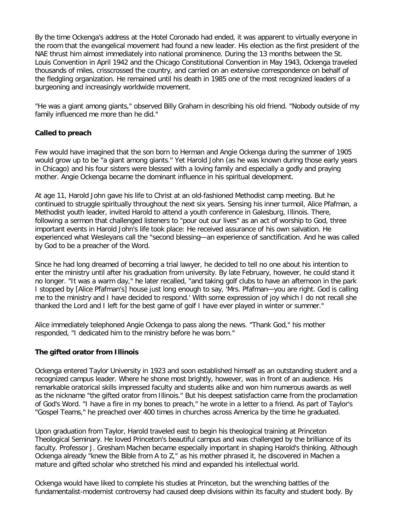By the time Ockenga's address at the Hotel Coronado had ended, it was apparent to virtually everyone in the room that the evangelical movement had found a new leader. His election as the first president of the NAE thrust him almost immediately into national prominence. During the 13 months between the St. Louis Convention in April 1942 and the Chicago Constitutional Convention in May 1943, Ockenga traveled thousands of miles, crisscrossed the country, and carried on an extensive correspondence on behalf of the fledgling organization. He remained until his death in 1985 one of the most recognized leaders of a burgeoning and increasingly worldwide movement.

"He was a giant among giants," observed Billy Graham in describing his old friend. "Nobody outside of my family influenced me more than he did."

## **Called to preach**

Few would have imagined that the son born to Herman and Angie Ockenga during the summer of 1905 would grow up to be "a giant among giants." Yet Harold John (as he was known during those early years in Chicago) and his four sisters were blessed with a loving family and especially a godly and praying mother. Angie Ockenga became the dominant influence in his spiritual development.

At age 11, Harold John gave his life to Christ at an old-fashioned Methodist camp meeting. But he continued to struggle spiritually throughout the next six years. Sensing his inner turmoil, Alice Pfafman, a Methodist youth leader, invited Harold to attend a youth conference in Galesburg, Illinois. There, following a sermon that challenged listeners to "pour out our lives" as an act of worship to God, three important events in Harold John's life took place: He received assurance of his own salvation. He experienced what Wesleyans call the "second blessing—an experience of sanctification. And he was called by God to be a preacher of the Word.

Since he had long dreamed of becoming a trial lawyer, he decided to tell no one about his intention to enter the ministry until after his graduation from university. By late February, however, he could stand it no longer. "It was a warm day," he later recalled, "and taking golf clubs to have an afternoon in the park I stopped by [Alice Pfafman's] house just long enough to say, 'Mrs. Pfafman—you are right. God is calling me to the ministry and I have decided to respond.' With some expression of joy which I do not recall she thanked the Lord and I left for the best game of golf I have ever played in winter or summer."

Alice immediately telephoned Angie Ockenga to pass along the news. "Thank God," his mother responded, "I dedicated him to the ministry before he was born."

# **The gifted orator from Illinois**

Ockenga entered Taylor University in 1923 and soon established himself as an outstanding student and a recognized campus leader. Where he shone most brightly, however, was in front of an audience. His remarkable oratorical skills impressed faculty and students alike and won him numerous awards as well as the nickname "the gifted orator from Illinois." But his deepest satisfaction came from the proclamation of God's Word. "I have a fire in my bones to preach," he wrote in a letter to a friend. As part of Taylor's "Gospel Teams," he preached over 400 times in churches across America by the time he graduated.

Upon graduation from Taylor, Harold traveled east to begin his theological training at Princeton Theological Seminary. He loved Princeton's beautiful campus and was challenged by the brilliance of its faculty. Professor J. Gresham Machen became especially important in shaping Harold's thinking. Although Ockenga already "knew the Bible from A to Z," as his mother phrased it, he discovered in Machen a mature and gifted scholar who stretched his mind and expanded his intellectual world.

Ockenga would have liked to complete his studies at Princeton, but the wrenching battles of the fundamentalist-modernist controversy had caused deep divisions within its faculty and student body. By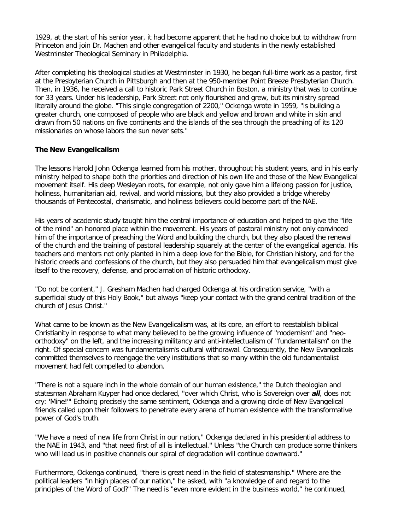1929, at the start of his senior year, it had become apparent that he had no choice but to withdraw from Princeton and join Dr. Machen and other evangelical faculty and students in the newly established Westminster Theological Seminary in Philadelphia.

After completing his theological studies at Westminster in 1930, he began full-time work as a pastor, first at the Presbyterian Church in Pittsburgh and then at the 950-member Point Breeze Presbyterian Church. Then, in 1936, he received a call to historic Park Street Church in Boston, a ministry that was to continue for 33 years. Under his leadership, Park Street not only flourished and grew, but its ministry spread literally around the globe. "This single congregation of 2200," Ockenga wrote in 1959, "is building a greater church, one composed of people who are black and yellow and brown and white in skin and drawn from 50 nations on five continents and the islands of the sea through the preaching of its 120 missionaries on whose labors the sun never sets."

## **The New Evangelicalism**

The lessons Harold John Ockenga learned from his mother, throughout his student years, and in his early ministry helped to shape both the priorities and direction of his own life and those of the New Evangelical movement itself. His deep Wesleyan roots, for example, not only gave him a lifelong passion for justice, holiness, humanitarian aid, revival, and world missions, but they also provided a bridge whereby thousands of Pentecostal, charismatic, and holiness believers could become part of the NAE.

His years of academic study taught him the central importance of education and helped to give the "life of the mind" an honored place within the movement. His years of pastoral ministry not only convinced him of the importance of preaching the Word and building the church, but they also placed the renewal of the church and the training of pastoral leadership squarely at the center of the evangelical agenda. His teachers and mentors not only planted in him a deep love for the Bible, for Christian history, and for the historic creeds and confessions of the church, but they also persuaded him that evangelicalism must give itself to the recovery, defense, and proclamation of historic orthodoxy.

"Do not be content," J. Gresham Machen had charged Ockenga at his ordination service, "with a superficial study of this Holy Book," but always "keep your contact with the grand central tradition of the church of Jesus Christ."

What came to be known as the New Evangelicalism was, at its core, an effort to reestablish biblical Christianity in response to what many believed to be the growing influence of "modernism" and "neoorthodoxy" on the left, and the increasing militancy and anti-intellectualism of "fundamentalism" on the right. Of special concern was fundamentalism's cultural withdrawal. Consequently, the New Evangelicals committed themselves to reengage the very institutions that so many within the old fundamentalist movement had felt compelled to abandon.

"There is not a square inch in the whole domain of our human existence," the Dutch theologian and statesman Abraham Kuyper had once declared, "over which Christ, who is Sovereign over **all**, does not cry: 'Mine!'" Echoing precisely the same sentiment, Ockenga and a growing circle of New Evangelical friends called upon their followers to penetrate every arena of human existence with the transformative power of God's truth.

"We have a need of new life from Christ in our nation," Ockenga declared in his presidential address to the NAE in 1943, and "that need first of all is intellectual." Unless "the Church can produce some thinkers who will lead us in positive channels our spiral of degradation will continue downward."

Furthermore, Ockenga continued, "there is great need in the field of statesmanship." Where are the political leaders "in high places of our nation," he asked, with "a knowledge of and regard to the principles of the Word of God?" The need is "even more evident in the business world," he continued,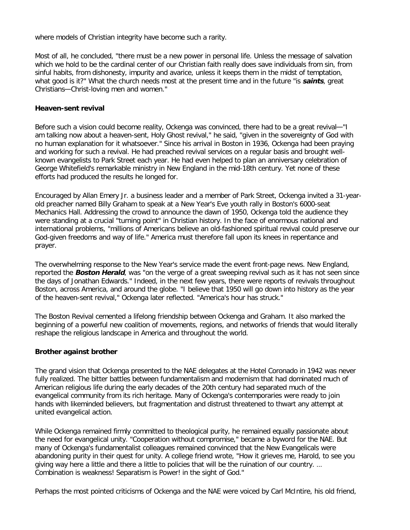where models of Christian integrity have become such a rarity.

Most of all, he concluded, "there must be a new power in personal life. Unless the message of salvation which we hold to be the cardinal center of our Christian faith really does save individuals from sin, from sinful habits, from dishonesty, impurity and avarice, unless it keeps them in the midst of temptation, what good is it?" What the church needs most at the present time and in the future "is **saints**, great Christians—Christ-loving men and women."

### **Heaven-sent revival**

Before such a vision could become reality, Ockenga was convinced, there had to be a great revival—"I am talking now about a heaven-sent, Holy Ghost revival," he said, "given in the sovereignty of God with no human explanation for it whatsoever." Since his arrival in Boston in 1936, Ockenga had been praying and working for such a revival. He had preached revival services on a regular basis and brought wellknown evangelists to Park Street each year. He had even helped to plan an anniversary celebration of George Whitefield's remarkable ministry in New England in the mid-18th century. Yet none of these efforts had produced the results he longed for.

Encouraged by Allan Emery Jr. a business leader and a member of Park Street, Ockenga invited a 31-yearold preacher named Billy Graham to speak at a New Year's Eve youth rally in Boston's 6000-seat Mechanics Hall. Addressing the crowd to announce the dawn of 1950, Ockenga told the audience they were standing at a crucial "turning point" in Christian history. In the face of enormous national and international problems, "millions of Americans believe an old-fashioned spiritual revival could preserve our God-given freedoms and way of life." America must therefore fall upon its knees in repentance and prayer.

The overwhelming response to the New Year's service made the event front-page news. New England, reported the **Boston Herald**, was "on the verge of a great sweeping revival such as it has not seen since the days of Jonathan Edwards." Indeed, in the next few years, there were reports of revivals throughout Boston, across America, and around the globe. "I believe that 1950 will go down into history as the year of the heaven-sent revival," Ockenga later reflected. "America's hour has struck."

The Boston Revival cemented a lifelong friendship between Ockenga and Graham. It also marked the beginning of a powerful new coalition of movements, regions, and networks of friends that would literally reshape the religious landscape in America and throughout the world.

## **Brother against brother**

The grand vision that Ockenga presented to the NAE delegates at the Hotel Coronado in 1942 was never fully realized. The bitter battles between fundamentalism and modernism that had dominated much of American religious life during the early decades of the 20th century had separated much of the evangelical community from its rich heritage. Many of Ockenga's contemporaries were ready to join hands with likeminded believers, but fragmentation and distrust threatened to thwart any attempt at united evangelical action.

While Ockenga remained firmly committed to theological purity, he remained equally passionate about the need for evangelical unity. "Cooperation without compromise," became a byword for the NAE. But many of Ockenga's fundamentalist colleagues remained convinced that the New Evangelicals were abandoning purity in their quest for unity. A college friend wrote, "How it grieves me, Harold, to see you giving way here a little and there a little to policies that will be the ruination of our country. … Combination is weakness! Separatism is Power! in the sight of God."

Perhaps the most pointed criticisms of Ockenga and the NAE were voiced by Carl McIntire, his old friend,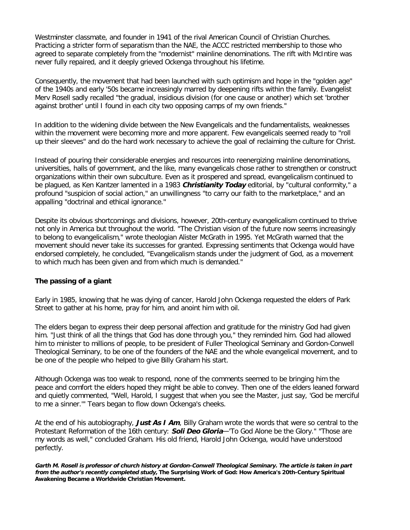Westminster classmate, and founder in 1941 of the rival American Council of Christian Churches. Practicing a stricter form of separatism than the NAE, the ACCC restricted membership to those who agreed to separate completely from the "modernist" mainline denominations. The rift with McIntire was never fully repaired, and it deeply grieved Ockenga throughout his lifetime.

Consequently, the movement that had been launched with such optimism and hope in the "golden age" of the 1940s and early '50s became increasingly marred by deepening rifts within the family. Evangelist Merv Rosell sadly recalled "the gradual, insidious division (for one cause or another) which set 'brother against brother' until I found in each city two opposing camps of my own friends."

In addition to the widening divide between the New Evangelicals and the fundamentalists, weaknesses within the movement were becoming more and more apparent. Few evangelicals seemed ready to "roll up their sleeves" and do the hard work necessary to achieve the goal of reclaiming the culture for Christ.

Instead of pouring their considerable energies and resources into reenergizing mainline denominations, universities, halls of government, and the like, many evangelicals chose rather to strengthen or construct organizations within their own subculture. Even as it prospered and spread, evangelicalism continued to be plagued, as Ken Kantzer lamented in a 1983 **Christianity Today** editorial, by "cultural conformity," a profound "suspicion of social action," an unwillingness "to carry our faith to the marketplace," and an appalling "doctrinal and ethical ignorance."

Despite its obvious shortcomings and divisions, however, 20th-century evangelicalism continued to thrive not only in America but throughout the world. "The Christian vision of the future now seems increasingly to belong to evangelicalism," wrote theologian Alister McGrath in 1995. Yet McGrath warned that the movement should never take its successes for granted. Expressing sentiments that Ockenga would have endorsed completely, he concluded, "Evangelicalism stands under the judgment of God, as a movement to which much has been given and from which much is demanded."

## **The passing of a giant**

Early in 1985, knowing that he was dying of cancer, Harold John Ockenga requested the elders of Park Street to gather at his home, pray for him, and anoint him with oil.

The elders began to express their deep personal affection and gratitude for the ministry God had given him. "Just think of all the things that God has done through you," they reminded him. God had allowed him to minister to millions of people, to be president of Fuller Theological Seminary and Gordon-Conwell Theological Seminary, to be one of the founders of the NAE and the whole evangelical movement, and to be one of the people who helped to give Billy Graham his start.

Although Ockenga was too weak to respond, none of the comments seemed to be bringing him the peace and comfort the elders hoped they might be able to convey. Then one of the elders leaned forward and quietly commented, "Well, Harold, I suggest that when you see the Master, just say, 'God be merciful to me a sinner.'" Tears began to flow down Ockenga's cheeks.

At the end of his autobiography, **Just As I Am**, Billy Graham wrote the words that were so central to the Protestant Reformation of the 16th century: **Soli Deo Gloria**—'To God Alone be the Glory." "Those are my words as well," concluded Graham. His old friend, Harold John Ockenga, would have understood perfectly.

**Garth M. Rosell is professor of church history at Gordon-Conwell Theological Seminary. The article is taken in part from the author's recently completed study, The Surprising Work of God: How America's 20th-Century Spiritual Awakening Became a Worldwide Christian Movement.**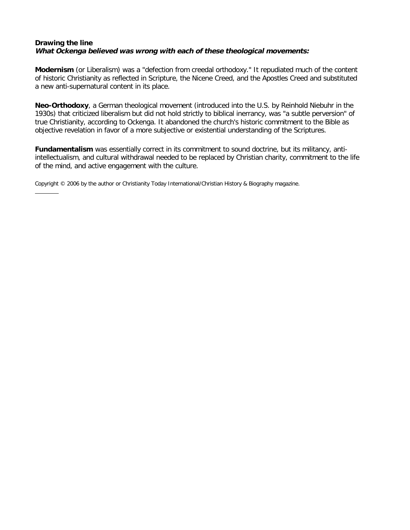# **Drawing the line What Ockenga believed was wrong with each of these theological movements:**

**Modernism** (or Liberalism) was a "defection from creedal orthodoxy." It repudiated much of the content of historic Christianity as reflected in Scripture, the Nicene Creed, and the Apostles Creed and substituted a new anti-supernatural content in its place.

**Neo-Orthodoxy**, a German theological movement (introduced into the U.S. by Reinhold Niebuhr in the 1930s) that criticized liberalism but did not hold strictly to biblical inerrancy, was "a subtle perversion" of true Christianity, according to Ockenga. It abandoned the church's historic commitment to the Bible as objective revelation in favor of a more subjective or existential understanding of the Scriptures.

**Fundamentalism** was essentially correct in its commitment to sound doctrine, but its militancy, antiintellectualism, and cultural withdrawal needed to be replaced by Christian charity, commitment to the life of the mind, and active engagement with the culture.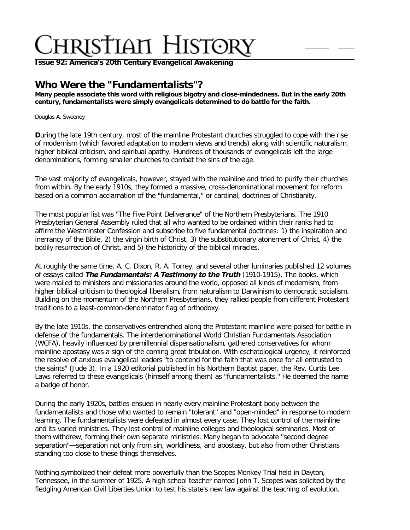**Issue 92: America'[s 20th Century Evangelical Awakening](http://ctlstaging/ch/cdrom/collection.html?id=3473)**

# **Who Were the "Fundamentalists"?**

**Many people associate this word with religious bigotry and close-mindedness. But in the early 20th century, fundamentalists were simply evangelicals determined to do battle for the faith.**

#### Douglas A. Sweeney

**D**uring the late 19th century, most of the mainline Protestant churches struggled to cope with the rise of modernism (which favored adaptation to modern views and trends) along with scientific naturalism, higher biblical criticism, and spiritual apathy. Hundreds of thousands of evangelicals left the large denominations, forming smaller churches to combat the sins of the age.

The vast majority of evangelicals, however, stayed with the mainline and tried to purify their churches from within. By the early 1910s, they formed a massive, cross-denominational movement for reform based on a common acclamation of the "fundamental," or cardinal, doctrines of Christianity.

The most popular list was "The Five Point Deliverance" of the Northern Presbyterians. The 1910 Presbyterian General Assembly ruled that all who wanted to be ordained within their ranks had to affirm the Westminster Confession and subscribe to five fundamental doctrines: 1) the inspiration and inerrancy of the Bible, 2) the virgin birth of Christ, 3) the substitutionary atonement of Christ, 4) the bodily resurrection of Christ, and 5) the historicity of the biblical miracles.

At roughly the same time, A. C. Dixon, R. A. Torrey, and several other luminaries published 12 volumes of essays called **The Fundamentals: A Testimony to the Truth** (1910-1915). The books, which were mailed to ministers and missionaries around the world, opposed all kinds of modernism, from higher biblical criticism to theological liberalism, from naturalism to Darwinism to democratic socialism. Building on the momentum of the Northern Presbyterians, they rallied people from different Protestant traditions to a least-common-denominator flag of orthodoxy.

By the late 1910s, the conservatives entrenched along the Protestant mainline were poised for battle in defense of the fundamentals. The interdenominational World Christian Fundamentals Association (WCFA), heavily influenced by premillennial dispensationalism, gathered conservatives for whom mainline apostasy was a sign of the coming great tribulation. With eschatological urgency, it reinforced the resolve of anxious evangelical leaders "to contend for the faith that was once for all entrusted to the saints" (Jude 3). In a 1920 editorial published in his Northern Baptist paper, the Rev. Curtis Lee Laws referred to these evangelicals (himself among them) as "fundamentalists." He deemed the name a badge of honor.

During the early 1920s, battles ensued in nearly every mainline Protestant body between the fundamentalists and those who wanted to remain "tolerant" and "open-minded" in response to modern learning. The fundamentalists were defeated in almost every case. They lost control of the mainline and its varied ministries. They lost control of mainline colleges and theological seminaries. Most of them withdrew, forming their own separate ministries. Many began to advocate "second degree separation"—separation not only from sin, worldliness, and apostasy, but also from other Christians standing too close to these things themselves.

Nothing symbolized their defeat more powerfully than the Scopes Monkey Trial held in Dayton, Tennessee, in the summer of 1925. A high school teacher named John T. Scopes was solicited by the fledgling American Civil Liberties Union to test his state's new law against the teaching of evolution.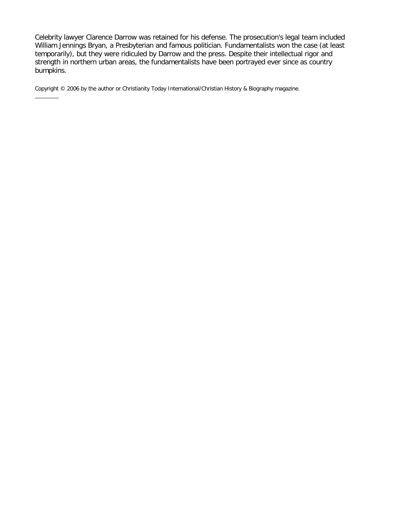Celebrity lawyer Clarence Darrow was retained for his defense. The prosecution's legal team included William Jennings Bryan, a Presbyterian and famous politician. Fundamentalists won the case (at least temporarily), but they were ridiculed by Darrow and the press. Despite their intellectual rigor and strength in northern urban areas, the fundamentalists have been portrayed ever since as country bumpkins.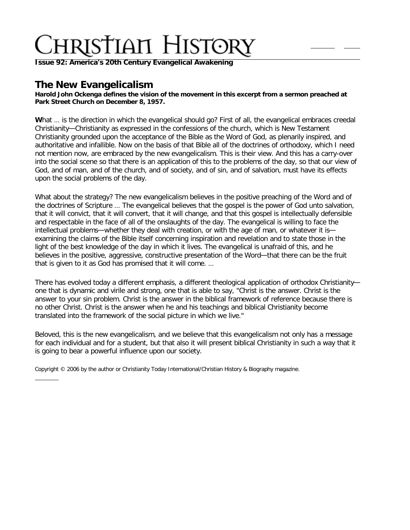**Issue 92: America'[s 20th Century Evangelical Awakening](http://ctlstaging/ch/cdrom/collection.html?id=3473)**

# **The New Evangelicalism**

**Harold John Ockenga defines the vision of the movement in this excerpt from a sermon preached at Park Street Church on December 8, 1957.**

What ... is the direction in which the evangelical should go? First of all, the evangelical embraces creedal Christianity—Christianity as expressed in the confessions of the church, which is New Testament Christianity grounded upon the acceptance of the Bible as the Word of God, as plenarily inspired, and authoritative and infallible. Now on the basis of that Bible all of the doctrines of orthodoxy, which I need not mention now, are embraced by the new evangelicalism. This is their view. And this has a carry-over into the social scene so that there is an application of this to the problems of the day, so that our view of God, and of man, and of the church, and of society, and of sin, and of salvation, must have its effects upon the social problems of the day.

What about the strategy? The new evangelicalism believes in the positive preaching of the Word and of the doctrines of Scripture … The evangelical believes that the gospel is the power of God unto salvation, that it will convict, that it will convert, that it will change, and that this gospel is intellectually defensible and respectable in the face of all of the onslaughts of the day. The evangelical is willing to face the intellectual problems—whether they deal with creation, or with the age of man, or whatever it is examining the claims of the Bible itself concerning inspiration and revelation and to state those in the light of the best knowledge of the day in which it lives. The evangelical is unafraid of this, and he believes in the positive, aggressive, constructive presentation of the Word—that there can be the fruit that is given to it as God has promised that it will come. …

There has evolved today a different emphasis, a different theological application of orthodox Christianity one that is dynamic and virile and strong, one that is able to say, "Christ is the answer. Christ is the answer to your sin problem. Christ is the answer in the biblical framework of reference because there is no other Christ. Christ is the answer when he and his teachings and biblical Christianity become translated into the framework of the social picture in which we live."

Beloved, this is the new evangelicalism, and we believe that this evangelicalism not only has a message for each individual and for a student, but that also it will present biblical Christianity in such a way that it is going to bear a powerful influence upon our society.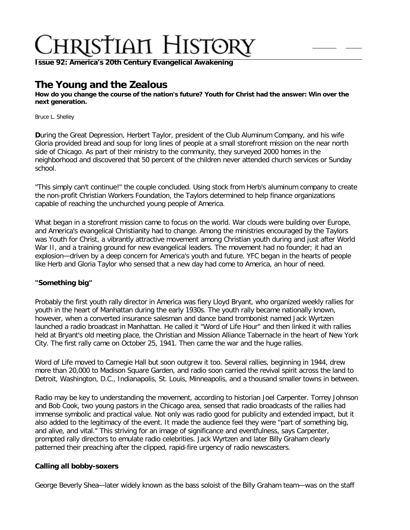**Issue 92: America'[s 20th Century Evangelical Awakening](http://ctlstaging/ch/cdrom/collection.html?id=3473)**

# **The Young and the Zealous**

**How do you change the course of the nation's future? Youth for Christ had the answer: Win over the next generation.**

Bruce L. Shelley

**D**uring the Great Depression, Herbert Taylor, president of the Club Aluminum Company, and his wife Gloria provided bread and soup for long lines of people at a small storefront mission on the near north side of Chicago. As part of their ministry to the community, they surveyed 2000 homes in the neighborhood and discovered that 50 percent of the children never attended church services or Sunday school.

"This simply can't continue!" the couple concluded. Using stock from Herb's aluminum company to create the non-profit Christian Workers Foundation, the Taylors determined to help finance organizations capable of reaching the unchurched young people of America.

What began in a storefront mission came to focus on the world. War clouds were building over Europe, and America's evangelical Christianity had to change. Among the ministries encouraged by the Taylors was Youth for Christ, a vibrantly attractive movement among Christian youth during and just after World War II, and a training ground for new evangelical leaders. The movement had no founder; it had an explosion—driven by a deep concern for America's youth and future. YFC began in the hearts of people like Herb and Gloria Taylor who sensed that a new day had come to America, an hour of need.

## **"Something big"**

Probably the first youth rally director in America was fiery Lloyd Bryant, who organized weekly rallies for youth in the heart of Manhattan during the early 1930s. The youth rally became nationally known, however, when a converted insurance salesman and dance band trombonist named Jack Wyrtzen launched a radio broadcast in Manhattan. He called it "Word of Life Hour" and then linked it with rallies held at Bryant's old meeting place, the Christian and Mission Alliance Tabernacle in the heart of New York City. The first rally came on October 25, 1941. Then came the war and the huge rallies.

Word of Life moved to Carnegie Hall but soon outgrew it too. Several rallies, beginning in 1944, drew more than 20,000 to Madison Square Garden, and radio soon carried the revival spirit across the land to Detroit, Washington, D.C., Indianapolis, St. Louis, Minneapolis, and a thousand smaller towns in between.

Radio may be key to understanding the movement, according to historian Joel Carpenter. Torrey Johnson and Bob Cook, two young pastors in the Chicago area, sensed that radio broadcasts of the rallies had immense symbolic and practical value. Not only was radio good for publicity and extended impact, but it also added to the legitimacy of the event. It made the audience feel they were "part of something big, and alive, and vital." This striving for an image of significance and eventfulness, says Carpenter, prompted rally directors to emulate radio celebrities. Jack Wyrtzen and later Billy Graham clearly patterned their preaching after the clipped, rapid-fire urgency of radio newscasters.

## **Calling all bobby-soxers**

George Beverly Shea—later widely known as the bass soloist of the Billy Graham team—was on the staff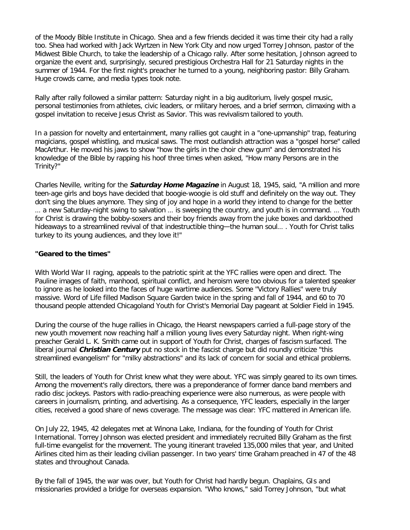of the Moody Bible Institute in Chicago. Shea and a few friends decided it was time their city had a rally too. Shea had worked with Jack Wyrtzen in New York City and now urged Torrey Johnson, pastor of the Midwest Bible Church, to take the leadership of a Chicago rally. After some hesitation, Johnson agreed to organize the event and, surprisingly, secured prestigious Orchestra Hall for 21 Saturday nights in the summer of 1944. For the first night's preacher he turned to a young, neighboring pastor: Billy Graham. Huge crowds came, and media types took note.

Rally after rally followed a similar pattern: Saturday night in a big auditorium, lively gospel music, personal testimonies from athletes, civic leaders, or military heroes, and a brief sermon, climaxing with a gospel invitation to receive Jesus Christ as Savior. This was revivalism tailored to youth.

In a passion for novelty and entertainment, many rallies got caught in a "one-upmanship" trap, featuring magicians, gospel whistling, and musical saws. The most outlandish attraction was a "gospel horse" called MacArthur. He moved his jaws to show "how the girls in the choir chew gum" and demonstrated his knowledge of the Bible by rapping his hoof three times when asked, "How many Persons are in the Trinity?"

Charles Neville, writing for the **Saturday Home Magazine** in August 18, 1945, said, "A million and more teen-age girls and boys have decided that boogie-woogie is old stuff and definitely on the way out. They don't sing the blues anymore. They sing of joy and hope in a world they intend to change for the better … a new Saturday-night swing to salvation … is sweeping the country, and youth is in command. … Youth for Christ is drawing the bobby-soxers and their boy friends away from the juke boxes and darkboothed hideaways to a streamlined revival of that indestructible thing—the human soul… . Youth for Christ talks turkey to its young audiences, and they love it!"

## **"Geared to the times"**

With World War II raging, appeals to the patriotic spirit at the YFC rallies were open and direct. The Pauline images of faith, manhood, spiritual conflict, and heroism were too obvious for a talented speaker to ignore as he looked into the faces of huge wartime audiences. Some "Victory Rallies" were truly massive. Word of Life filled Madison Square Garden twice in the spring and fall of 1944, and 60 to 70 thousand people attended Chicagoland Youth for Christ's Memorial Day pageant at Soldier Field in 1945.

During the course of the huge rallies in Chicago, the Hearst newspapers carried a full-page story of the new youth movement now reaching half a million young lives every Saturday night. When right-wing preacher Gerald L. K. Smith came out in support of Youth for Christ, charges of fascism surfaced. The liberal journal **Christian Century** put no stock in the fascist charge but did roundly criticize "this streamlined evangelism" for "milky abstractions" and its lack of concern for social and ethical problems.

Still, the leaders of Youth for Christ knew what they were about. YFC was simply geared to its own times. Among the movement's rally directors, there was a preponderance of former dance band members and radio disc jockeys. Pastors with radio-preaching experience were also numerous, as were people with careers in journalism, printing, and advertising. As a consequence, YFC leaders, especially in the larger cities, received a good share of news coverage. The message was clear: YFC mattered in American life.

On July 22, 1945, 42 delegates met at Winona Lake, Indiana, for the founding of Youth for Christ International. Torrey Johnson was elected president and immediately recruited Billy Graham as the first full-time evangelist for the movement. The young itinerant traveled 135,000 miles that year, and United Airlines cited him as their leading civilian passenger. In two years' time Graham preached in 47 of the 48 states and throughout Canada.

By the fall of 1945, the war was over, but Youth for Christ had hardly begun. Chaplains, GIs and missionaries provided a bridge for overseas expansion. "Who knows," said Torrey Johnson, "but what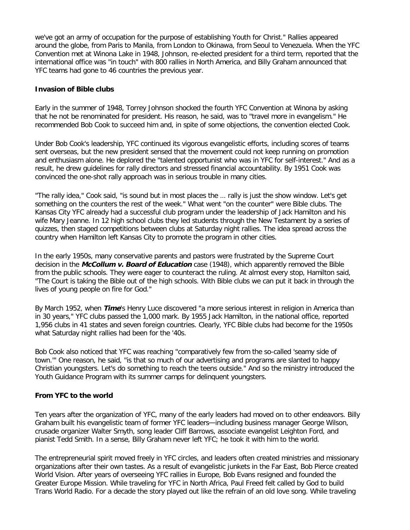we've got an army of occupation for the purpose of establishing Youth for Christ." Rallies appeared around the globe, from Paris to Manila, from London to Okinawa, from Seoul to Venezuela. When the YFC Convention met at Winona Lake in 1948, Johnson, re-elected president for a third term, reported that the international office was "in touch" with 800 rallies in North America, and Billy Graham announced that YFC teams had gone to 46 countries the previous year.

### **Invasion of Bible clubs**

Early in the summer of 1948, Torrey Johnson shocked the fourth YFC Convention at Winona by asking that he not be renominated for president. His reason, he said, was to "travel more in evangelism." He recommended Bob Cook to succeed him and, in spite of some objections, the convention elected Cook.

Under Bob Cook's leadership, YFC continued its vigorous evangelistic efforts, including scores of teams sent overseas, but the new president sensed that the movement could not keep running on promotion and enthusiasm alone. He deplored the "talented opportunist who was in YFC for self-interest." And as a result, he drew guidelines for rally directors and stressed financial accountability. By 1951 Cook was convinced the one-shot rally approach was in serious trouble in many cities.

"The rally idea," Cook said, "is sound but in most places the … rally is just the show window. Let's get something on the counters the rest of the week." What went "on the counter" were Bible clubs. The Kansas City YFC already had a successful club program under the leadership of Jack Hamilton and his wife Mary Jeanne. In 12 high school clubs they led students through the New Testament by a series of quizzes, then staged competitions between clubs at Saturday night rallies. The idea spread across the country when Hamilton left Kansas City to promote the program in other cities.

In the early 1950s, many conservative parents and pastors were frustrated by the Supreme Court decision in the **McCollum v. Board of Education** case (1948), which apparently removed the Bible from the public schools. They were eager to counteract the ruling. At almost every stop, Hamilton said, "The Court is taking the Bible out of the high schools. With Bible clubs we can put it back in through the lives of young people on fire for God."

By March 1952, when **Time**'s Henry Luce discovered "a more serious interest in religion in America than in 30 years," YFC clubs passed the 1,000 mark. By 1955 Jack Hamilton, in the national office, reported 1,956 clubs in 41 states and seven foreign countries. Clearly, YFC Bible clubs had become for the 1950s what Saturday night rallies had been for the '40s.

Bob Cook also noticed that YFC was reaching "comparatively few from the so-called 'seamy side of town.'" One reason, he said, "is that so much of our advertising and programs are slanted to happy Christian youngsters. Let's do something to reach the teens outside." And so the ministry introduced the Youth Guidance Program with its summer camps for delinquent youngsters.

## **From YFC to the world**

Ten years after the organization of YFC, many of the early leaders had moved on to other endeavors. Billy Graham built his evangelistic team of former YFC leaders—including business manager George Wilson, crusade organizer Walter Smyth, song leader Cliff Barrows, associate evangelist Leighton Ford, and pianist Tedd Smith. In a sense, Billy Graham never left YFC; he took it with him to the world.

The entrepreneurial spirit moved freely in YFC circles, and leaders often created ministries and missionary organizations after their own tastes. As a result of evangelistic junkets in the Far East, Bob Pierce created World Vision. After years of overseeing YFC rallies in Europe, Bob Evans resigned and founded the Greater Europe Mission. While traveling for YFC in North Africa, Paul Freed felt called by God to build Trans World Radio. For a decade the story played out like the refrain of an old love song. While traveling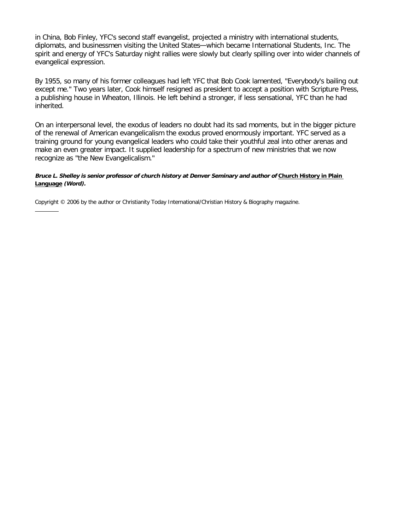in China, Bob Finley, YFC's second staff evangelist, projected a ministry with international students, diplomats, and businessmen visiting the United States—which became International Students, Inc. The spirit and energy of YFC's Saturday night rallies were slowly but clearly spilling over into wider channels of evangelical expression.

By 1955, so many of his former colleagues had left YFC that Bob Cook lamented, "Everybody's bailing out except me." Two years later, Cook himself resigned as president to accept a position with Scripture Press, a publishing house in Wheaton, Illinois. He left behind a stronger, if less sensational, YFC than he had inherited.

On an interpersonal level, the exodus of leaders no doubt had its sad moments, but in the bigger picture of the renewal of American evangelicalism the exodus proved enormously important. YFC served as a training ground for young evangelical leaders who could take their youthful zeal into other arenas and make an even greater impact. It supplied leadership for a spectrum of new ministries that we now recognize as "the New Evangelicalism."

#### **Bruce L. Shelley is senior professor of church history at Denver Seminary and author of [Church History in Plain](http://www.christianbook.com/Christian/Books/product/?item_no=38691&p=1006325)  [Language](http://www.christianbook.com/Christian/Books/product/?item_no=38691&p=1006325) (Word).**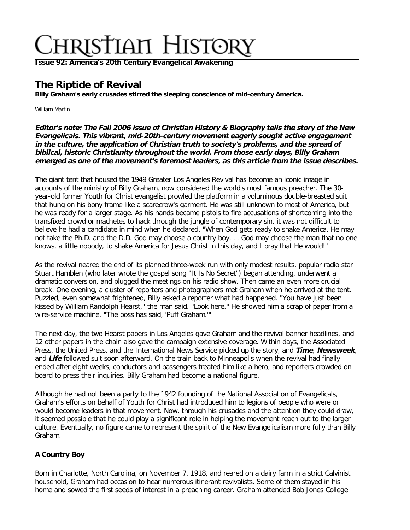**Issue 92: America'[s 20th Century Evangelical Awakening](http://ctlstaging/ch/cdrom/collection.html?id=3473)**

# **The Riptide of Revival**

**Billy Graham's early crusades stirred the sleeping conscience of mid-century America.**

William Martin

**Editor's note: The Fall 2006 issue of Christian History & Biography tells the story of the New Evangelicals. This vibrant, mid-20th-century movement eagerly sought active engagement in the culture, the application of Christian truth to society's problems, and the spread of biblical, historic Christianity throughout the world. From those early days, Billy Graham emerged as one of the movement's foremost leaders, as this article from the issue describes.**

**T**he giant tent that housed the 1949 Greater Los Angeles Revival has become an iconic image in accounts of the ministry of Billy Graham, now considered the world's most famous preacher. The 30 year-old former Youth for Christ evangelist prowled the platform in a voluminous double-breasted suit that hung on his bony frame like a scarecrow's garment. He was still unknown to most of America, but he was ready for a larger stage. As his hands became pistols to fire accusations of shortcoming into the transfixed crowd or machetes to hack through the jungle of contemporary sin, it was not difficult to believe he had a candidate in mind when he declared, "When God gets ready to shake America, He may not take the Ph.D. and the D.D. God may choose a country boy. … God may choose the man that no one knows, a little nobody, to shake America for Jesus Christ in this day, and I pray that He would!"

As the revival neared the end of its planned three-week run with only modest results, popular radio star Stuart Hamblen (who later wrote the gospel song "It Is No Secret") began attending, underwent a dramatic conversion, and plugged the meetings on his radio show. Then came an even more crucial break. One evening, a cluster of reporters and photographers met Graham when he arrived at the tent. Puzzled, even somewhat frightened, Billy asked a reporter what had happened. "You have just been kissed by William Randolph Hearst," the man said. "Look here." He showed him a scrap of paper from a wire-service machine. "The boss has said, 'Puff Graham.'"

The next day, the two Hearst papers in Los Angeles gave Graham and the revival banner headlines, and 12 other papers in the chain also gave the campaign extensive coverage. Within days, the Associated Press, the United Press, and the International News Service picked up the story, and **Time**, **Newsweek**, and **Life** followed suit soon afterward. On the train back to Minneapolis when the revival had finally ended after eight weeks, conductors and passengers treated him like a hero, and reporters crowded on board to press their inquiries. Billy Graham had become a national figure.

Although he had not been a party to the 1942 founding of the National Association of Evangelicals, Graham's efforts on behalf of Youth for Christ had introduced him to legions of people who were or would become leaders in that movement. Now, through his crusades and the attention they could draw, it seemed possible that he could play a significant role in helping the movement reach out to the larger culture. Eventually, no figure came to represent the spirit of the New Evangelicalism more fully than Billy Graham.

# **A Country Boy**

Born in Charlotte, North Carolina, on November 7, 1918, and reared on a dairy farm in a strict Calvinist household, Graham had occasion to hear numerous itinerant revivalists. Some of them stayed in his home and sowed the first seeds of interest in a preaching career. Graham attended Bob Jones College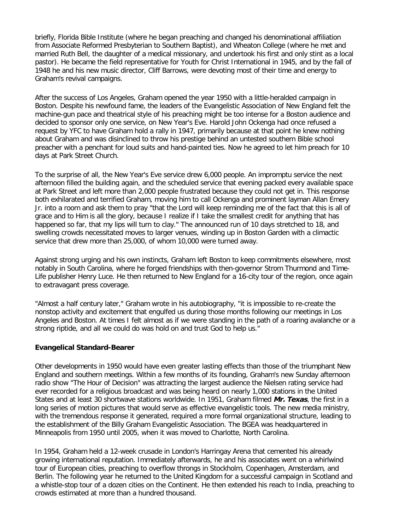briefly, Florida Bible Institute (where he began preaching and changed his denominational affiliation from Associate Reformed Presbyterian to Southern Baptist), and Wheaton College (where he met and married Ruth Bell, the daughter of a medical missionary, and undertook his first and only stint as a local pastor). He became the field representative for Youth for Christ International in 1945, and by the fall of 1948 he and his new music director, Cliff Barrows, were devoting most of their time and energy to Graham's revival campaigns.

After the success of Los Angeles, Graham opened the year 1950 with a little-heralded campaign in Boston. Despite his newfound fame, the leaders of the Evangelistic Association of New England felt the machine-gun pace and theatrical style of his preaching might be too intense for a Boston audience and decided to sponsor only one service, on New Year's Eve. Harold John Ockenga had once refused a request by YFC to have Graham hold a rally in 1947, primarily because at that point he knew nothing about Graham and was disinclined to throw his prestige behind an untested southern Bible school preacher with a penchant for loud suits and hand-painted ties. Now he agreed to let him preach for 10 days at Park Street Church.

To the surprise of all, the New Year's Eve service drew 6,000 people. An impromptu service the next afternoon filled the building again, and the scheduled service that evening packed every available space at Park Street and left more than 2,000 people frustrated because they could not get in. This response both exhilarated and terrified Graham, moving him to call Ockenga and prominent layman Allan Emery Jr. into a room and ask them to pray "that the Lord will keep reminding me of the fact that this is all of grace and to Him is all the glory, because I realize if I take the smallest credit for anything that has happened so far, that my lips will turn to clay." The announced run of 10 days stretched to 18, and swelling crowds necessitated moves to larger venues, winding up in Boston Garden with a climactic service that drew more than 25,000, of whom 10,000 were turned away.

Against strong urging and his own instincts, Graham left Boston to keep commitments elsewhere, most notably in South Carolina, where he forged friendships with then-governor Strom Thurmond and Time-Life publisher Henry Luce. He then returned to New England for a 16-city tour of the region, once again to extravagant press coverage.

"Almost a half century later," Graham wrote in his autobiography, "it is impossible to re-create the nonstop activity and excitement that engulfed us during those months following our meetings in Los Angeles and Boston. At times I felt almost as if we were standing in the path of a roaring avalanche or a strong riptide, and all we could do was hold on and trust God to help us."

## **Evangelical Standard-Bearer**

Other developments in 1950 would have even greater lasting effects than those of the triumphant New England and southern meetings. Within a few months of its founding, Graham's new Sunday afternoon radio show "The Hour of Decision" was attracting the largest audience the Nielsen rating service had ever recorded for a religious broadcast and was being heard on nearly 1,000 stations in the United States and at least 30 shortwave stations worldwide. In 1951, Graham filmed **Mr. Texas**, the first in a long series of motion pictures that would serve as effective evangelistic tools. The new media ministry, with the tremendous response it generated, required a more formal organizational structure, leading to the establishment of the Billy Graham Evangelistic Association. The BGEA was headquartered in Minneapolis from 1950 until 2005, when it was moved to Charlotte, North Carolina.

In 1954, Graham held a 12-week crusade in London's Harringay Arena that cemented his already growing international reputation. Immediately afterwards, he and his associates went on a whirlwind tour of European cities, preaching to overflow throngs in Stockholm, Copenhagen, Amsterdam, and Berlin. The following year he returned to the United Kingdom for a successful campaign in Scotland and a whistle-stop tour of a dozen cities on the Continent. He then extended his reach to India, preaching to crowds estimated at more than a hundred thousand.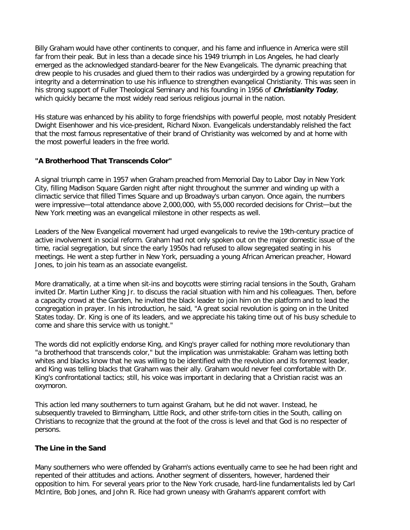Billy Graham would have other continents to conquer, and his fame and influence in America were still far from their peak. But in less than a decade since his 1949 triumph in Los Angeles, he had clearly emerged as the acknowledged standard-bearer for the New Evangelicals. The dynamic preaching that drew people to his crusades and glued them to their radios was undergirded by a growing reputation for integrity and a determination to use his influence to strengthen evangelical Christianity. This was seen in his strong support of Fuller Theological Seminary and his founding in 1956 of **Christianity Today**, which quickly became the most widely read serious religious journal in the nation.

His stature was enhanced by his ability to forge friendships with powerful people, most notably President Dwight Eisenhower and his vice-president, Richard Nixon. Evangelicals understandably relished the fact that the most famous representative of their brand of Christianity was welcomed by and at home with the most powerful leaders in the free world.

## **"A Brotherhood That Transcends Color"**

A signal triumph came in 1957 when Graham preached from Memorial Day to Labor Day in New York City, filling Madison Square Garden night after night throughout the summer and winding up with a climactic service that filled Times Square and up Broadway's urban canyon. Once again, the numbers were impressive—total attendance above 2,000,000, with 55,000 recorded decisions for Christ—but the New York meeting was an evangelical milestone in other respects as well.

Leaders of the New Evangelical movement had urged evangelicals to revive the 19th-century practice of active involvement in social reform. Graham had not only spoken out on the major domestic issue of the time, racial segregation, but since the early 1950s had refused to allow segregated seating in his meetings. He went a step further in New York, persuading a young African American preacher, Howard Jones, to join his team as an associate evangelist.

More dramatically, at a time when sit-ins and boycotts were stirring racial tensions in the South, Graham invited Dr. Martin Luther King Jr. to discuss the racial situation with him and his colleagues. Then, before a capacity crowd at the Garden, he invited the black leader to join him on the platform and to lead the congregation in prayer. In his introduction, he said, "A great social revolution is going on in the United States today. Dr. King is one of its leaders, and we appreciate his taking time out of his busy schedule to come and share this service with us tonight."

The words did not explicitly endorse King, and King's prayer called for nothing more revolutionary than "a brotherhood that transcends color," but the implication was unmistakable: Graham was letting both whites and blacks know that he was willing to be identified with the revolution and its foremost leader, and King was telling blacks that Graham was their ally. Graham would never feel comfortable with Dr. King's confrontational tactics; still, his voice was important in declaring that a Christian racist was an oxymoron.

This action led many southerners to turn against Graham, but he did not waver. Instead, he subsequently traveled to Birmingham, Little Rock, and other strife-torn cities in the South, calling on Christians to recognize that the ground at the foot of the cross is level and that God is no respecter of persons.

## **The Line in the Sand**

Many southerners who were offended by Graham's actions eventually came to see he had been right and repented of their attitudes and actions. Another segment of dissenters, however, hardened their opposition to him. For several years prior to the New York crusade, hard-line fundamentalists led by Carl McIntire, Bob Jones, and John R. Rice had grown uneasy with Graham's apparent comfort with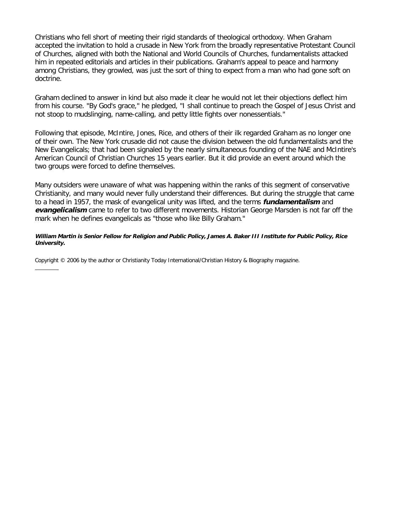Christians who fell short of meeting their rigid standards of theological orthodoxy. When Graham accepted the invitation to hold a crusade in New York from the broadly representative Protestant Council of Churches, aligned with both the National and World Councils of Churches, fundamentalists attacked him in repeated editorials and articles in their publications. Graham's appeal to peace and harmony among Christians, they growled, was just the sort of thing to expect from a man who had gone soft on doctrine.

Graham declined to answer in kind but also made it clear he would not let their objections deflect him from his course. "By God's grace," he pledged, "I shall continue to preach the Gospel of Jesus Christ and not stoop to mudslinging, name-calling, and petty little fights over nonessentials."

Following that episode, McIntire, Jones, Rice, and others of their ilk regarded Graham as no longer one of their own. The New York crusade did not cause the division between the old fundamentalists and the New Evangelicals; that had been signaled by the nearly simultaneous founding of the NAE and McIntire's American Council of Christian Churches 15 years earlier. But it did provide an event around which the two groups were forced to define themselves.

Many outsiders were unaware of what was happening within the ranks of this segment of conservative Christianity, and many would never fully understand their differences. But during the struggle that came to a head in 1957, the mask of evangelical unity was lifted, and the terms **fundamentalism** and **evangelicalism** came to refer to two different movements. Historian George Marsden is not far off the mark when he defines evangelicals as "those who like Billy Graham."

#### **William Martin is Senior Fellow for Religion and Public Policy, James A. Baker III Institute for Public Policy, Rice University.**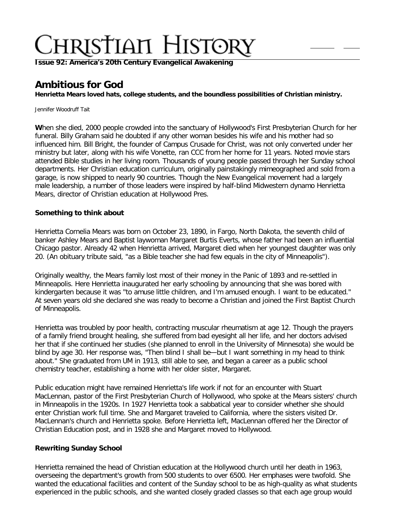**Issue 92: America'[s 20th Century Evangelical Awakening](http://ctlstaging/ch/cdrom/collection.html?id=3473)**

# **Ambitious for God**

**Henrietta Mears loved hats, college students, and the boundless possibilities of Christian ministry.**

Jennifer Woodruff Tait

**W**hen she died, 2000 people crowded into the sanctuary of Hollywood's First Presbyterian Church for her funeral. Billy Graham said he doubted if any other woman besides his wife and his mother had so influenced him. Bill Bright, the founder of Campus Crusade for Christ, was not only converted under her ministry but later, along with his wife Vonette, ran CCC from her home for 11 years. Noted movie stars attended Bible studies in her living room. Thousands of young people passed through her Sunday school departments. Her Christian education curriculum, originally painstakingly mimeographed and sold from a garage, is now shipped to nearly 90 countries. Though the New Evangelical movement had a largely male leadership, a number of those leaders were inspired by half-blind Midwestern dynamo Henrietta Mears, director of Christian education at Hollywood Pres.

## **Something to think about**

Henrietta Cornelia Mears was born on October 23, 1890, in Fargo, North Dakota, the seventh child of banker Ashley Mears and Baptist laywoman Margaret Burtis Everts, whose father had been an influential Chicago pastor. Already 42 when Henrietta arrived, Margaret died when her youngest daughter was only 20. (An obituary tribute said, "as a Bible teacher she had few equals in the city of Minneapolis").

Originally wealthy, the Mears family lost most of their money in the Panic of 1893 and re-settled in Minneapolis. Here Henrietta inaugurated her early schooling by announcing that she was bored with kindergarten because it was "to amuse little children, and I'm amused enough. I want to be educated." At seven years old she declared she was ready to become a Christian and joined the First Baptist Church of Minneapolis.

Henrietta was troubled by poor health, contracting muscular rheumatism at age 12. Though the prayers of a family friend brought healing, she suffered from bad eyesight all her life, and her doctors advised her that if she continued her studies (she planned to enroll in the University of Minnesota) she would be blind by age 30. Her response was, "Then blind I shall be—but I want something in my head to think about." She graduated from UM in 1913, still able to see, and began a career as a public school chemistry teacher, establishing a home with her older sister, Margaret.

Public education might have remained Henrietta's life work if not for an encounter with Stuart MacLennan, pastor of the First Presbyterian Church of Hollywood, who spoke at the Mears sisters' church in Minneapolis in the 1920s. In 1927 Henrietta took a sabbatical year to consider whether she should enter Christian work full time. She and Margaret traveled to California, where the sisters visited Dr. MacLennan's church and Henrietta spoke. Before Henrietta left, MacLennan offered her the Director of Christian Education post, and in 1928 she and Margaret moved to Hollywood.

## **Rewriting Sunday School**

Henrietta remained the head of Christian education at the Hollywood church until her death in 1963, overseeing the department's growth from 500 students to over 6500. Her emphases were twofold. She wanted the educational facilities and content of the Sunday school to be as high-quality as what students experienced in the public schools, and she wanted closely graded classes so that each age group would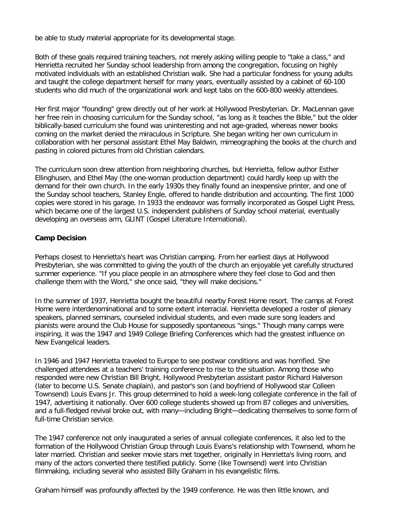be able to study material appropriate for its developmental stage.

Both of these goals required training teachers, not merely asking willing people to "take a class," and Henrietta recruited her Sunday school leadership from among the congregation, focusing on highly motivated individuals with an established Christian walk. She had a particular fondness for young adults and taught the college department herself for many years, eventually assisted by a cabinet of 60-100 students who did much of the organizational work and kept tabs on the 600-800 weekly attendees.

Her first major "founding" grew directly out of her work at Hollywood Presbyterian. Dr. MacLennan gave her free rein in choosing curriculum for the Sunday school, "as long as it teaches the Bible," but the older biblically-based curriculum she found was uninteresting and not age-graded, whereas newer books coming on the market denied the miraculous in Scripture. She began writing her own curriculum in collaboration with her personal assistant Ethel May Baldwin, mimeographing the books at the church and pasting in colored pictures from old Christian calendars.

The curriculum soon drew attention from neighboring churches, but Henrietta, fellow author Esther Ellinghusen, and Ethel May (the one-woman production department) could hardly keep up with the demand for their own church. In the early 1930s they finally found an inexpensive printer, and one of the Sunday school teachers, Stanley Engle, offered to handle distribution and accounting. The first 1000 copies were stored in his garage. In 1933 the endeavor was formally incorporated as Gospel Light Press, which became one of the largest U.S. independent publishers of Sunday school material, eventually developing an overseas arm, GLINT (Gospel Literature International).

# **Camp Decision**

Perhaps closest to Henrietta's heart was Christian camping. From her earliest days at Hollywood Presbyterian, she was committed to giving the youth of the church an enjoyable yet carefully structured summer experience. "If you place people in an atmosphere where they feel close to God and then challenge them with the Word," she once said, "they will make decisions."

In the summer of 1937, Henrietta bought the beautiful nearby Forest Home resort. The camps at Forest Home were interdenominational and to some extent interracial. Henrietta developed a roster of plenary speakers, planned seminars, counseled individual students, and even made sure song leaders and pianists were around the Club House for supposedly spontaneous "sings." Though many camps were inspiring, it was the 1947 and 1949 College Briefing Conferences which had the greatest influence on New Evangelical leaders.

In 1946 and 1947 Henrietta traveled to Europe to see postwar conditions and was horrified. She challenged attendees at a teachers' training conference to rise to the situation. Among those who responded were new Christian Bill Bright, Hollywood Presbyterian assistant pastor Richard Halverson (later to become U.S. Senate chaplain), and pastor's son (and boyfriend of Hollywood star Colleen Townsend) Louis Evans Jr. This group determined to hold a week-long collegiate conference in the fall of 1947, advertising it nationally. Over 600 college students showed up from 87 colleges and universities, and a full-fledged revival broke out, with many—including Bright—dedicating themselves to some form of full-time Christian service.

The 1947 conference not only inaugurated a series of annual collegiate conferences, it also led to the formation of the Hollywood Christian Group through Louis Evans's relationship with Townsend, whom he later married. Christian and seeker movie stars met together, originally in Henrietta's living room, and many of the actors converted there testified publicly. Some (like Townsend) went into Christian filmmaking, including several who assisted Billy Graham in his evangelistic films.

Graham himself was profoundly affected by the 1949 conference. He was then little known, and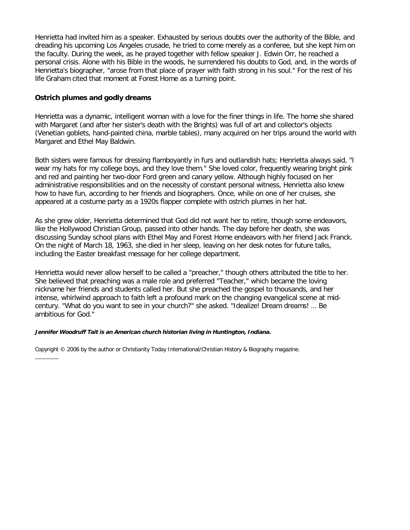Henrietta had invited him as a speaker. Exhausted by serious doubts over the authority of the Bible, and dreading his upcoming Los Angeles crusade, he tried to come merely as a conferee, but she kept him on the faculty. During the week, as he prayed together with fellow speaker J. Edwin Orr, he reached a personal crisis. Alone with his Bible in the woods, he surrendered his doubts to God, and, in the words of Henrietta's biographer, "arose from that place of prayer with faith strong in his soul." For the rest of his life Graham cited that moment at Forest Home as a turning point.

# **Ostrich plumes and godly dreams**

Henrietta was a dynamic, intelligent woman with a love for the finer things in life. The home she shared with Margaret (and after her sister's death with the Brights) was full of art and collector's objects (Venetian goblets, hand-painted china, marble tables), many acquired on her trips around the world with Margaret and Ethel May Baldwin.

Both sisters were famous for dressing flamboyantly in furs and outlandish hats; Henrietta always said, "I wear my hats for my college boys, and they love them." She loved color, frequently wearing bright pink and red and painting her two-door Ford green and canary yellow. Although highly focused on her administrative responsibilities and on the necessity of constant personal witness, Henrietta also knew how to have fun, according to her friends and biographers. Once, while on one of her cruises, she appeared at a costume party as a 1920s flapper complete with ostrich plumes in her hat.

As she grew older, Henrietta determined that God did not want her to retire, though some endeavors, like the Hollywood Christian Group, passed into other hands. The day before her death, she was discussing Sunday school plans with Ethel May and Forest Home endeavors with her friend Jack Franck. On the night of March 18, 1963, she died in her sleep, leaving on her desk notes for future talks, including the Easter breakfast message for her college department.

Henrietta would never allow herself to be called a "preacher," though others attributed the title to her. She believed that preaching was a male role and preferred "Teacher," which became the loving nickname her friends and students called her. But she preached the gospel to thousands, and her intense, whirlwind approach to faith left a profound mark on the changing evangelical scene at midcentury. "What do you want to see in your church?" she asked. "Idealize! Dream dreams! … Be ambitious for God."

#### **Jennifer Woodruff Tait is an American church historian living in Huntington, Indiana.**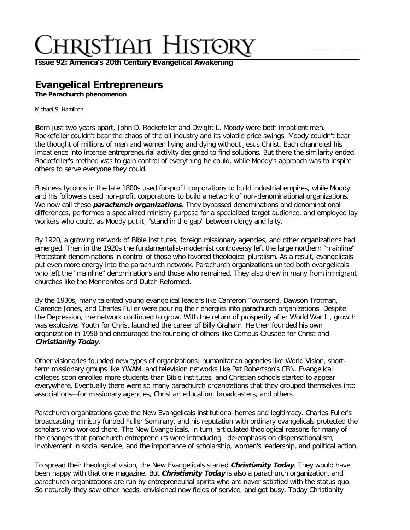**Issue 92: America'[s 20th Century Evangelical Awakening](http://ctlstaging/ch/cdrom/collection.html?id=3473)**

# **Evangelical Entrepreneurs**

**The Parachurch phenomenon**

Michael S. Hamilton

**B**orn just two years apart, John D. Rockefeller and Dwight L. Moody were both impatient men. Rockefeller couldn't bear the chaos of the oil industry and its volatile price swings. Moody couldn't bear the thought of millions of men and women living and dying without Jesus Christ. Each channeled his impatience into intense entrepreneurial activity designed to find solutions. But there the similarity ended. Rockefeller's method was to gain control of everything he could, while Moody's approach was to inspire others to serve everyone they could.

Business tycoons in the late 1800s used for-profit corporations to build industrial empires, while Moody and his followers used non-profit corporations to build a network of non-denominational organizations. We now call these **parachurch organizations**. They bypassed denominations and denominational differences, performed a specialized ministry purpose for a specialized target audience, and employed lay workers who could, as Moody put it, "stand in the gap" between clergy and laity.

By 1920, a growing network of Bible institutes, foreign missionary agencies, and other organizations had emerged. Then in the 1920s the fundamentalist-modernist controversy left the large northern "mainline" Protestant denominations in control of those who favored theological pluralism. As a result, evangelicals put even more energy into the parachurch network. Parachurch organizations united both evangelicals who left the "mainline" denominations and those who remained. They also drew in many from immigrant churches like the Mennonites and Dutch Reformed.

By the 1930s, many talented young evangelical leaders like Cameron Townsend, Dawson Trotman, Clarence Jones, and Charles Fuller were pouring their energies into parachurch organizations. Despite the Depression, the network continued to grow. With the return of prosperity after World War II, growth was explosive. Youth for Christ launched the career of Billy Graham. He then founded his own organization in 1950 and encouraged the founding of others like Campus Crusade for Christ and **Christianity Today**.

Other visionaries founded new types of organizations: humanitarian agencies like World Vision, shortterm missionary groups like YWAM, and television networks like Pat Robertson's CBN. Evangelical colleges soon enrolled more students than Bible institutes, and Christian schools started to appear everywhere. Eventually there were so many parachurch organizations that they grouped themselves into associations—for missionary agencies, Christian education, broadcasters, and others.

Parachurch organizations gave the New Evangelicals institutional homes and legitimacy. Charles Fuller's broadcasting ministry funded Fuller Seminary, and his reputation with ordinary evangelicals protected the scholars who worked there. The New Evangelicals, in turn, articulated theological reasons for many of the changes that parachurch entrepreneurs were introducing—de-emphasis on dispensationalism, involvement in social service, and the importance of scholarship, women's leadership, and political action.

To spread their theological vision, the New Evangelicals started **Christianity Today**. They would have been happy with that one magazine. But **Christianity Today** is also a parachurch organization, and parachurch organizations are run by entrepreneurial spirits who are never satisfied with the status quo. So naturally they saw other needs, envisioned new fields of service, and got busy. Today Christianity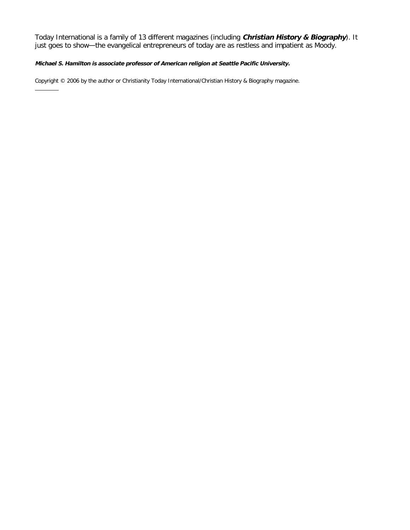Today International is a family of 13 different magazines (including **Christian History & Biography**). It just goes to show—the evangelical entrepreneurs of today are as restless and impatient as Moody.

#### **Michael S. Hamilton is associate professor of American religion at Seattle Pacific University.**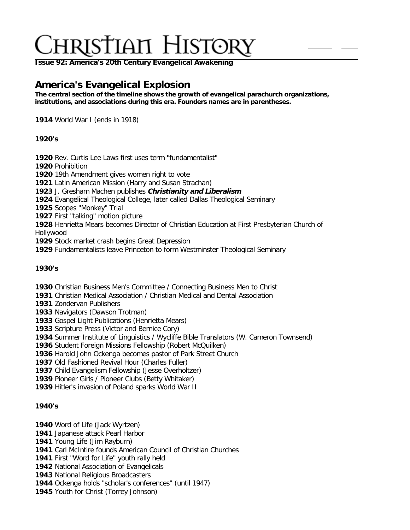**Issue 92: America'[s 20th Century Evangelical Awakening](http://ctlstaging/ch/cdrom/collection.html?id=3473)**

# **America's Evangelical Explosion**

**The central section of the timeline shows the growth of evangelical parachurch organizations, institutions, and associations during this era. Founders names are in parentheses.**

World War I (ends in 1918)

# **1920's**

Rev. Curtis Lee Laws first uses term "fundamentalist"

Prohibition

19th Amendment gives women right to vote

Latin American Mission (Harry and Susan Strachan)

J. Gresham Machen publishes **Christianity and Liberalism**

Evangelical Theological College, later called Dallas Theological Seminary

Scopes "Monkey" Trial

First "talking" motion picture

 Henrietta Mears becomes Director of Christian Education at First Presbyterian Church of Hollywood

Stock market crash begins Great Depression

Fundamentalists leave Princeton to form Westminster Theological Seminary

## **1930's**

Christian Business Men's Committee / Connecting Business Men to Christ

Christian Medical Association / Christian Medical and Dental Association

Zondervan Publishers

Navigators (Dawson Trotman)

Gospel Light Publications (Henrietta Mears)

Scripture Press (Victor and Bernice Cory)

Summer Institute of Linguistics / Wycliffe Bible Translators (W. Cameron Townsend)

Student Foreign Missions Fellowship (Robert McQuilken)

Harold John Ockenga becomes pastor of Park Street Church

Old Fashioned Revival Hour (Charles Fuller)

Child Evangelism Fellowship (Jesse Overholtzer)

Pioneer Girls / Pioneer Clubs (Betty Whitaker)

Hitler's invasion of Poland sparks World War II

# **1940's**

Word of Life (Jack Wyrtzen)

Japanese attack Pearl Harbor

Young Life (Jim Rayburn)

Carl McIntire founds American Council of Christian Churches

First "Word for Life" youth rally held

National Association of Evangelicals

National Religious Broadcasters

Ockenga holds "scholar's conferences" (until 1947)

Youth for Christ (Torrey Johnson)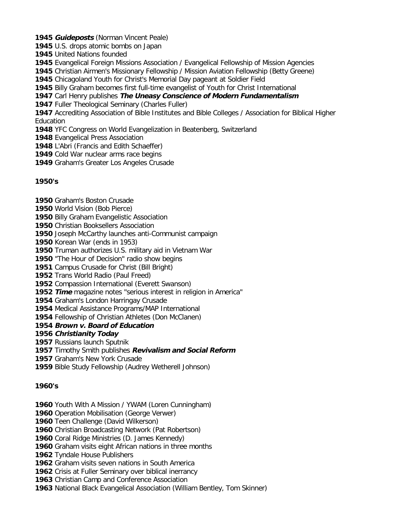- **Guideposts** (Norman Vincent Peale)
- U.S. drops atomic bombs on Japan
- United Nations founded
- Evangelical Foreign Missions Association / Evangelical Fellowship of Mission Agencies
- Christian Airmen's Missionary Fellowship / Mission Aviation Fellowship (Betty Greene)
- Chicagoland Youth for Christ's Memorial Day pageant at Soldier Field
- Billy Graham becomes first full-time evangelist of Youth for Christ International
- Carl Henry publishes **The Uneasy Conscience of Modern Fundamentalism**
- Fuller Theological Seminary (Charles Fuller)
- Accrediting Association of Bible Institutes and Bible Colleges / Association for Biblical Higher Education
- YFC Congress on World Evangelization in Beatenberg, Switzerland
- Evangelical Press Association
- L'Abri (Francis and Edith Schaeffer)
- Cold War nuclear arms race begins
- Graham's Greater Los Angeles Crusade

# **1950's**

- Graham's Boston Crusade
- World Vision (Bob Pierce)
- Billy Graham Evangelistic Association
- Christian Booksellers Association
- Joseph McCarthy launches anti-Communist campaign
- Korean War (ends in 1953)
- Truman authorizes U.S. military aid in Vietnam War
- "The Hour of Decision" radio show begins
- Campus Crusade for Christ (Bill Bright)
- Trans World Radio (Paul Freed)
- Compassion International (Everett Swanson)
- **Time** magazine notes "serious interest in religion in America"
- Graham's London Harringay Crusade
- Medical Assistance Programs/MAP International
- Fellowship of Christian Athletes (Don McClanen)

## **Brown v. Board of Education**

## **Christianity Today**

- Russians launch Sputnik
- Timothy Smith publishes **Revivalism and Social Reform**
- Graham's New York Crusade
- Bible Study Fellowship (Audrey Wetherell Johnson)

# **1960's**

- Youth With A Mission / YWAM (Loren Cunningham)
- Operation Mobilisation (George Verwer)
- Teen Challenge (David Wilkerson)
- Christian Broadcasting Network (Pat Robertson)
- Coral Ridge Ministries (D. James Kennedy)
- Graham visits eight African nations in three months
- Tyndale House Publishers
- Graham visits seven nations in South America
- Crisis at Fuller Seminary over biblical inerrancy
- Christian Camp and Conference Association
- National Black Evangelical Association (William Bentley, Tom Skinner)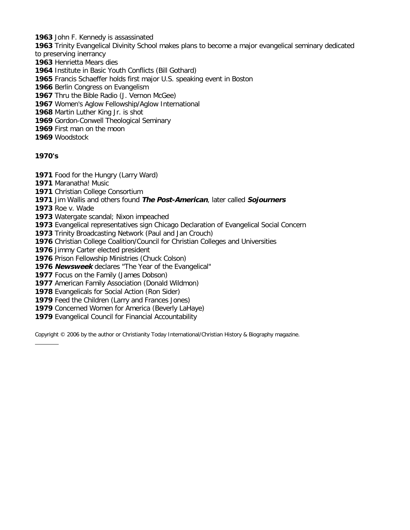John F. Kennedy is assassinated

Trinity Evangelical Divinity School makes plans to become a major evangelical seminary dedicated

- to preserving inerrancy
- Henrietta Mears dies
- Institute in Basic Youth Conflicts (Bill Gothard)
- Francis Schaeffer holds first major U.S. speaking event in Boston
- Berlin Congress on Evangelism
- Thru the Bible Radio (J. Vernon McGee)
- Women's Aglow Fellowship/Aglow International
- Martin Luther King Jr. is shot
- Gordon-Conwell Theological Seminary
- First man on the moon
- Woodstock

# **1970's**

- Food for the Hungry (Larry Ward)
- Maranatha! Music
- Christian College Consortium
- Jim Wallis and others found **The Post-American**, later called **Sojourners**
- Roe v. Wade
- Watergate scandal; Nixon impeached
- Evangelical representatives sign Chicago Declaration of Evangelical Social Concern
- Trinity Broadcasting Network (Paul and Jan Crouch)
- Christian College Coalition/Council for Christian Colleges and Universities
- Jimmy Carter elected president
- Prison Fellowship Ministries (Chuck Colson)
- **Newsweek** declares "The Year of the Evangelical"
- Focus on the Family (James Dobson)
- American Family Association (Donald Wildmon)
- Evangelicals for Social Action (Ron Sider)
- Feed the Children (Larry and Frances Jones)
- Concerned Women for America (Beverly LaHaye)
- Evangelical Council for Financial Accountability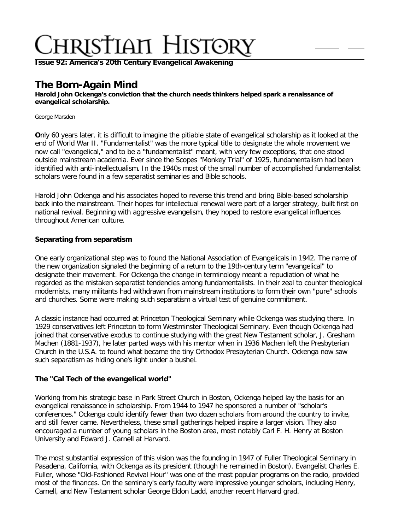**Issue 92: America'[s 20th Century Evangelical Awakening](http://ctlstaging/ch/cdrom/collection.html?id=3473)**

# **The Born-Again Mind**

**Harold John Ockenga's conviction that the church needs thinkers helped spark a renaissance of evangelical scholarship.**

George Marsden

**O**nly 60 years later, it is difficult to imagine the pitiable state of evangelical scholarship as it looked at the end of World War II. "Fundamentalist" was the more typical title to designate the whole movement we now call "evangelical," and to be a "fundamentalist" meant, with very few exceptions, that one stood outside mainstream academia. Ever since the Scopes "Monkey Trial" of 1925, fundamentalism had been identified with anti-intellectualism. In the 1940s most of the small number of accomplished fundamentalist scholars were found in a few separatist seminaries and Bible schools.

Harold John Ockenga and his associates hoped to reverse this trend and bring Bible-based scholarship back into the mainstream. Their hopes for intellectual renewal were part of a larger strategy, built first on national revival. Beginning with aggressive evangelism, they hoped to restore evangelical influences throughout American culture.

# **Separating from separatism**

One early organizational step was to found the National Association of Evangelicals in 1942. The name of the new organization signaled the beginning of a return to the 19th-century term "evangelical" to designate their movement. For Ockenga the change in terminology meant a repudiation of what he regarded as the mistaken separatist tendencies among fundamentalists. In their zeal to counter theological modernists, many militants had withdrawn from mainstream institutions to form their own "pure" schools and churches. Some were making such separatism a virtual test of genuine commitment.

A classic instance had occurred at Princeton Theological Seminary while Ockenga was studying there. In 1929 conservatives left Princeton to form Westminster Theological Seminary. Even though Ockenga had joined that conservative exodus to continue studying with the great New Testament scholar, J. Gresham Machen (1881-1937), he later parted ways with his mentor when in 1936 Machen left the Presbyterian Church in the U.S.A. to found what became the tiny Orthodox Presbyterian Church. Ockenga now saw such separatism as hiding one's light under a bushel.

## **The "Cal Tech of the evangelical world"**

Working from his strategic base in Park Street Church in Boston, Ockenga helped lay the basis for an evangelical renaissance in scholarship. From 1944 to 1947 he sponsored a number of "scholar's conferences." Ockenga could identify fewer than two dozen scholars from around the country to invite, and still fewer came. Nevertheless, these small gatherings helped inspire a larger vision. They also encouraged a number of young scholars in the Boston area, most notably Carl F. H. Henry at Boston University and Edward J. Carnell at Harvard.

The most substantial expression of this vision was the founding in 1947 of Fuller Theological Seminary in Pasadena, California, with Ockenga as its president (though he remained in Boston). Evangelist Charles E. Fuller, whose "Old-Fashioned Revival Hour" was one of the most popular programs on the radio, provided most of the finances. On the seminary's early faculty were impressive younger scholars, including Henry, Carnell, and New Testament scholar George Eldon Ladd, another recent Harvard grad.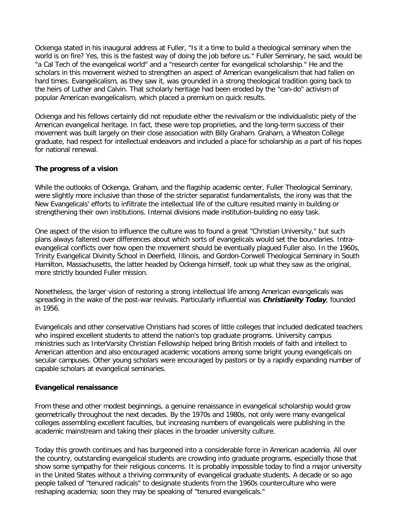Ockenga stated in his inaugural address at Fuller, "Is it a time to build a theological seminary when the world is on fire? Yes, this is the fastest way of doing the job before us." Fuller Seminary, he said, would be "a Cal Tech of the evangelical world" and a "research center for evangelical scholarship." He and the scholars in this movement wished to strengthen an aspect of American evangelicalism that had fallen on hard times. Evangelicalism, as they saw it, was grounded in a strong theological tradition going back to the heirs of Luther and Calvin. That scholarly heritage had been eroded by the "can-do" activism of popular American evangelicalism, which placed a premium on quick results.

Ockenga and his fellows certainly did not repudiate either the revivalism or the individualistic piety of the American evangelical heritage. In fact, these were top proprieties, and the long-term success of their movement was built largely on their close association with Billy Graham. Graham, a Wheaton College graduate, had respect for intellectual endeavors and included a place for scholarship as a part of his hopes for national renewal.

## **The progress of a vision**

While the outlooks of Ockenga, Graham, and the flagship academic center, Fuller Theological Seminary, were slightly more inclusive than those of the stricter separatist fundamentalists, the irony was that the New Evangelicals' efforts to infiltrate the intellectual life of the culture resulted mainly in building or strengthening their own institutions. Internal divisions made institution-building no easy task.

One aspect of the vision to influence the culture was to found a great "Christian University," but such plans always faltered over differences about which sorts of evangelicals would set the boundaries. Intraevangelical conflicts over how open the movement should be eventually plagued Fuller also. In the 1960s, Trinity Evangelical Divinity School in Deerfield, Illinois, and Gordon-Conwell Theological Seminary in South Hamilton, Massachusetts, the latter headed by Ockenga himself, took up what they saw as the original, more strictly bounded Fuller mission.

Nonetheless, the larger vision of restoring a strong intellectual life among American evangelicals was spreading in the wake of the post-war revivals. Particularly influential was **Christianity Today**, founded in 1956.

Evangelicals and other conservative Christians had scores of little colleges that included dedicated teachers who inspired excellent students to attend the nation's top graduate programs. University campus ministries such as InterVarsity Christian Fellowship helped bring British models of faith and intellect to American attention and also encouraged academic vocations among some bright young evangelicals on secular campuses. Other young scholars were encouraged by pastors or by a rapidly expanding number of capable scholars at evangelical seminaries.

#### **Evangelical renaissance**

From these and other modest beginnings, a genuine renaissance in evangelical scholarship would grow geometrically throughout the next decades. By the 1970s and 1980s, not only were many evangelical colleges assembling excellent faculties, but increasing numbers of evangelicals were publishing in the academic mainstream and taking their places in the broader university culture.

Today this growth continues and has burgeoned into a considerable force in American academia. All over the country, outstanding evangelical students are crowding into graduate programs, especially those that show some sympathy for their religious concerns. It is probably impossible today to find a major university in the United States without a thriving community of evangelical graduate students. A decade or so ago people talked of "tenured radicals" to designate students from the 1960s counterculture who were reshaping academia; soon they may be speaking of "tenured evangelicals."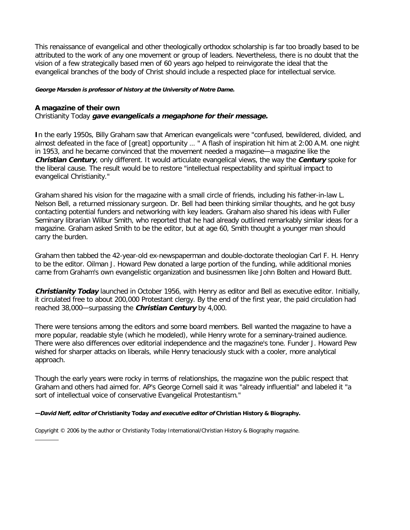This renaissance of evangelical and other theologically orthodox scholarship is far too broadly based to be attributed to the work of any one movement or group of leaders. Nevertheless, there is no doubt that the vision of a few strategically based men of 60 years ago helped to reinvigorate the ideal that the evangelical branches of the body of Christ should include a respected place for intellectual service.

#### **George Marsden is professor of history at the University of Notre Dame.**

#### **A magazine of their own**

Christianity Today **gave evangelicals a megaphone for their message.**

**I**n the early 1950s, Billy Graham saw that American evangelicals were "confused, bewildered, divided, and almost defeated in the face of [great] opportunity … " A flash of inspiration hit him at 2:00 A.M. one night in 1953, and he became convinced that the movement needed a magazine—a magazine like the **Christian Century**, only different. It would articulate evangelical views, the way the **Century** spoke for the liberal cause. The result would be to restore "intellectual respectability and spiritual impact to evangelical Christianity."

Graham shared his vision for the magazine with a small circle of friends, including his father-in-law L. Nelson Bell, a returned missionary surgeon. Dr. Bell had been thinking similar thoughts, and he got busy contacting potential funders and networking with key leaders. Graham also shared his ideas with Fuller Seminary librarian Wilbur Smith, who reported that he had already outlined remarkably similar ideas for a magazine. Graham asked Smith to be the editor, but at age 60, Smith thought a younger man should carry the burden.

Graham then tabbed the 42-year-old ex-newspaperman and double-doctorate theologian Carl F. H. Henry to be the editor. Oilman J. Howard Pew donated a large portion of the funding, while additional monies came from Graham's own evangelistic organization and businessmen like John Bolten and Howard Butt.

**Christianity Today** launched in October 1956, with Henry as editor and Bell as executive editor. Initially, it circulated free to about 200,000 Protestant clergy. By the end of the first year, the paid circulation had reached 38,000—surpassing the **Christian Century** by 4,000.

There were tensions among the editors and some board members. Bell wanted the magazine to have a more popular, readable style (which he modeled), while Henry wrote for a seminary-trained audience. There were also differences over editorial independence and the magazine's tone. Funder J. Howard Pew wished for sharper attacks on liberals, while Henry tenaciously stuck with a cooler, more analytical approach.

Though the early years were rocky in terms of relationships, the magazine won the public respect that Graham and others had aimed for. AP's George Cornell said it was "already influential" and labeled it "a sort of intellectual voice of conservative Evangelical Protestantism."

**—David Neff, editor of Christianity Today and executive editor of Christian History & Biography.**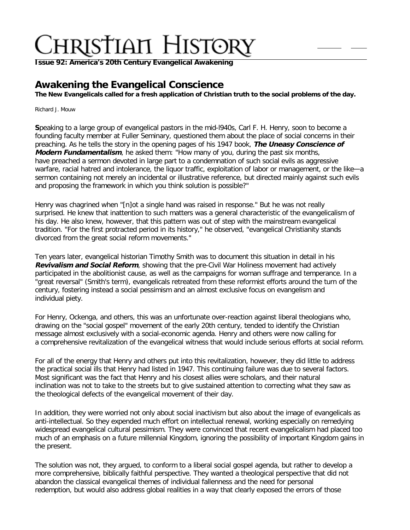**Issue 92: America'[s 20th Century Evangelical Awakening](http://ctlstaging/ch/cdrom/collection.html?id=3473)**

# **Awakening the Evangelical Conscience**

**The New Evangelicals called for a fresh application of Christian truth to the social problems of the day.**

Richard J. Mouw

**S**peaking to a large group of evangelical pastors in the mid-l940s, Carl F. H. Henry, soon to become a founding faculty member at Fuller Seminary, questioned them about the place of social concerns in their preaching. As he tells the story in the opening pages of his 1947 book, **The Uneasy Conscience of Modern Fundamentalism**, he asked them: "How many of you, during the past six months, have preached a sermon devoted in large part to a condemnation of such social evils as aggressive warfare, racial hatred and intolerance, the liquor traffic, exploitation of labor or management, or the like—a sermon containing not merely an incidental or illustrative reference, but directed mainly against such evils and proposing the framework in which you think solution is possible?"

Henry was chagrined when "[n]ot a single hand was raised in response." But he was not really surprised. He knew that inattention to such matters was a general characteristic of the evangelicalism of his day. He also knew, however, that this pattern was out of step with the mainstream evangelical tradition. "For the first protracted period in its history," he observed, "evangelical Christianity stands divorced from the great social reform movements."

Ten years later, evangelical historian Timothy Smith was to document this situation in detail in his **Revivalism and Social Reform**, showing that the pre-Civil War Holiness movement had actively participated in the abolitionist cause, as well as the campaigns for woman suffrage and temperance. In a "great reversal" (Smith's term), evangelicals retreated from these reformist efforts around the turn of the century, fostering instead a social pessimism and an almost exclusive focus on evangelism and individual piety.

For Henry, Ockenga, and others, this was an unfortunate over-reaction against liberal theologians who, drawing on the "social gospel" movement of the early 20th century, tended to identify the Christian message almost exclusively with a social-economic agenda. Henry and others were now calling for a comprehensive revitalization of the evangelical witness that would include serious efforts at social reform.

For all of the energy that Henry and others put into this revitalization, however, they did little to address the practical social ills that Henry had listed in 1947. This continuing failure was due to several factors. Most significant was the fact that Henry and his closest allies were scholars, and their natural inclination was not to take to the streets but to give sustained attention to correcting what they saw as the theological defects of the evangelical movement of their day.

In addition, they were worried not only about social inactivism but also about the image of evangelicals as anti-intellectual. So they expended much effort on intellectual renewal, working especially on remedying widespread evangelical cultural pessimism. They were convinced that recent evangelicalism had placed too much of an emphasis on a future millennial Kingdom, ignoring the possibility of important Kingdom gains in the present.

The solution was not, they argued, to conform to a liberal social gospel agenda, but rather to develop a more comprehensive, biblically faithful perspective. They wanted a theological perspective that did not abandon the classical evangelical themes of individual fallenness and the need for personal redemption, but would also address global realities in a way that clearly exposed the errors of those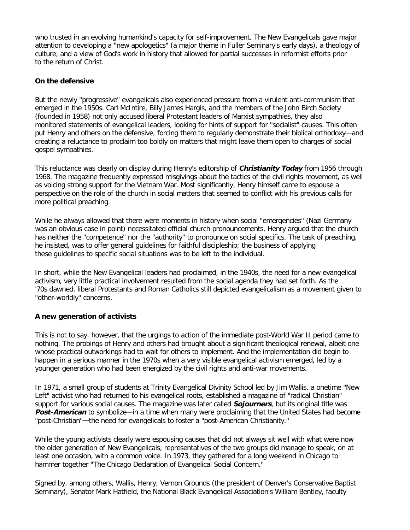who trusted in an evolving humankind's capacity for self-improvement. The New Evangelicals gave major attention to developing a "new apologetics" (a major theme in Fuller Seminary's early days), a theology of culture, and a view of God's work in history that allowed for partial successes in reformist efforts prior to the return of Christ.

## **On the defensive**

But the newly "progressive" evangelicals also experienced pressure from a virulent anti-communism that emerged in the 1950s. Carl McIntire, Billy James Hargis, and the members of the John Birch Society (founded in 1958) not only accused liberal Protestant leaders of Marxist sympathies, they also monitored statements of evangelical leaders, looking for hints of support for "socialist" causes. This often put Henry and others on the defensive, forcing them to regularly demonstrate their biblical orthodoxy—and creating a reluctance to proclaim too boldly on matters that might leave them open to charges of social gospel sympathies.

This reluctance was clearly on display during Henry's editorship of **Christianity Today** from 1956 through 1968. The magazine frequently expressed misgivings about the tactics of the civil rights movement, as well as voicing strong support for the Vietnam War. Most significantly, Henry himself came to espouse a perspective on the role of the church in social matters that seemed to conflict with his previous calls for more political preaching.

While he always allowed that there were moments in history when social "emergencies" (Nazi Germany was an obvious case in point) necessitated official church pronouncements, Henry argued that the church has neither the "competence" nor the "authority" to pronounce on social specifics. The task of preaching, he insisted, was to offer general guidelines for faithful discipleship; the business of applying these guidelines to specific social situations was to be left to the individual.

In short, while the New Evangelical leaders had proclaimed, in the 1940s, the need for a new evangelical activism, very little practical involvement resulted from the social agenda they had set forth. As the '70s dawned, liberal Protestants and Roman Catholics still depicted evangelicalism as a movement given to "other-worldly" concerns.

## **A new generation of activists**

This is not to say, however, that the urgings to action of the immediate post-World War II period came to nothing. The probings of Henry and others had brought about a significant theological renewal, albeit one whose practical outworkings had to wait for others to implement. And the implementation did begin to happen in a serious manner in the 1970s when a very visible evangelical activism emerged, led by a younger generation who had been energized by the civil rights and anti-war movements.

In 1971, a small group of students at Trinity Evangelical Divinity School led by Jim Wallis, a onetime "New Left" activist who had returned to his evangelical roots, established a magazine of "radical Christian" support for various social causes. The magazine was later called **Sojourners**, but its original title was **Post-American** to symbolize—in a time when many were proclaiming that the United States had become "post-Christian"—the need for evangelicals to foster a "post-American Christianity."

While the young activists clearly were espousing causes that did not always sit well with what were now the older generation of New Evangelicals, representatives of the two groups did manage to speak, on at least one occasion, with a common voice. In 1973, they gathered for a long weekend in Chicago to hammer together "The Chicago Declaration of Evangelical Social Concern."

Signed by, among others, Wallis, Henry, Vernon Grounds (the president of Denver's Conservative Baptist Seminary), Senator Mark Hatfield, the National Black Evangelical Association's William Bentley, faculty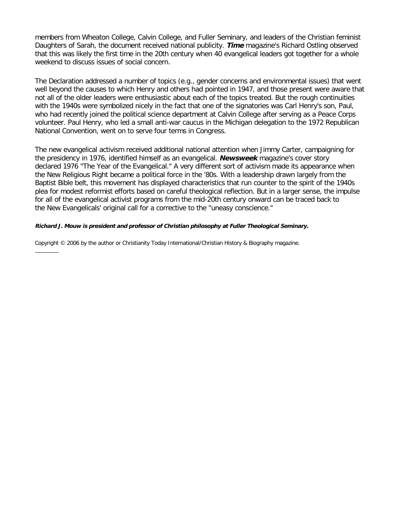members from Wheaton College, Calvin College, and Fuller Seminary, and leaders of the Christian feminist Daughters of Sarah, the document received national publicity. **Time** magazine's Richard Ostling observed that this was likely the first time in the 20th century when 40 evangelical leaders got together for a whole weekend to discuss issues of social concern.

The Declaration addressed a number of topics (e.g., gender concerns and environmental issues) that went well beyond the causes to which Henry and others had pointed in 1947, and those present were aware that not all of the older leaders were enthusiastic about each of the topics treated. But the rough continuities with the 1940s were symbolized nicely in the fact that one of the signatories was Carl Henry's son, Paul, who had recently joined the political science department at Calvin College after serving as a Peace Corps volunteer. Paul Henry, who led a small anti-war caucus in the Michigan delegation to the 1972 Republican National Convention, went on to serve four terms in Congress.

The new evangelical activism received additional national attention when Jimmy Carter, campaigning for the presidency in 1976, identified himself as an evangelical. **Newsweek** magazine's cover story declared 1976 "The Year of the Evangelical." A very different sort of activism made its appearance when the New Religious Right became a political force in the '80s. With a leadership drawn largely from the Baptist Bible belt, this movement has displayed characteristics that run counter to the spirit of the 1940s plea for modest reformist efforts based on careful theological reflection. But in a larger sense, the impulse for all of the evangelical activist programs from the mid-20th century onward can be traced back to the New Evangelicals' original call for a corrective to the "uneasy conscience."

#### **Richard J. Mouw is president and professor of Christian philosophy at Fuller Theological Seminary.**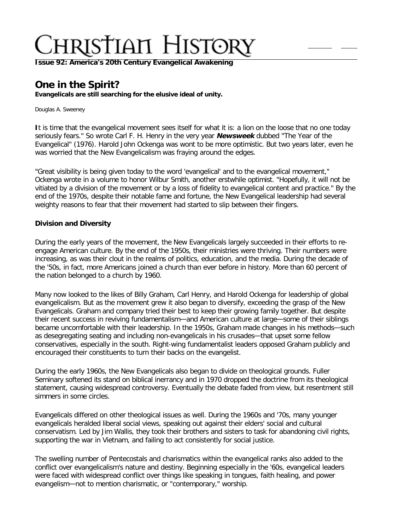**Issue 92: America'[s 20th Century Evangelical Awakening](http://ctlstaging/ch/cdrom/collection.html?id=3473)**

# **One in the Spirit?**

**Evangelicals are still searching for the elusive ideal of unity.**

Douglas A. Sweeney

**I**t is time that the evangelical movement sees itself for what it is: a lion on the loose that no one today seriously fears." So wrote Carl F. H. Henry in the very year **Newsweek** dubbed "The Year of the Evangelical" (1976). Harold John Ockenga was wont to be more optimistic. But two years later, even he was worried that the New Evangelicalism was fraying around the edges.

"Great visibility is being given today to the word 'evangelical' and to the evangelical movement," Ockenga wrote in a volume to honor Wilbur Smith, another erstwhile optimist. "Hopefully, it will not be vitiated by a division of the movement or by a loss of fidelity to evangelical content and practice." By the end of the 1970s, despite their notable fame and fortune, the New Evangelical leadership had several weighty reasons to fear that their movement had started to slip between their fingers.

## **Division and Diversity**

During the early years of the movement, the New Evangelicals largely succeeded in their efforts to reengage American culture. By the end of the 1950s, their ministries were thriving. Their numbers were increasing, as was their clout in the realms of politics, education, and the media. During the decade of the '50s, in fact, more Americans joined a church than ever before in history. More than 60 percent of the nation belonged to a church by 1960.

Many now looked to the likes of Billy Graham, Carl Henry, and Harold Ockenga for leadership of global evangelicalism. But as the movement grew it also began to diversify, exceeding the grasp of the New Evangelicals. Graham and company tried their best to keep their growing family together. But despite their recent success in reviving fundamentalism—and American culture at large—some of their siblings became uncomfortable with their leadership. In the 1950s, Graham made changes in his methods—such as desegregating seating and including non-evangelicals in his crusades—that upset some fellow conservatives, especially in the south. Right-wing fundamentalist leaders opposed Graham publicly and encouraged their constituents to turn their backs on the evangelist.

During the early 1960s, the New Evangelicals also began to divide on theological grounds. Fuller Seminary softened its stand on biblical inerrancy and in 1970 dropped the doctrine from its theological statement, causing widespread controversy. Eventually the debate faded from view, but resentment still simmers in some circles.

Evangelicals differed on other theological issues as well. During the 1960s and '70s, many younger evangelicals heralded liberal social views, speaking out against their elders' social and cultural conservatism. Led by Jim Wallis, they took their brothers and sisters to task for abandoning civil rights, supporting the war in Vietnam, and failing to act consistently for social justice.

The swelling number of Pentecostals and charismatics within the evangelical ranks also added to the conflict over evangelicalism's nature and destiny. Beginning especially in the '60s, evangelical leaders were faced with widespread conflict over things like speaking in tongues, faith healing, and power evangelism—not to mention charismatic, or "contemporary," worship.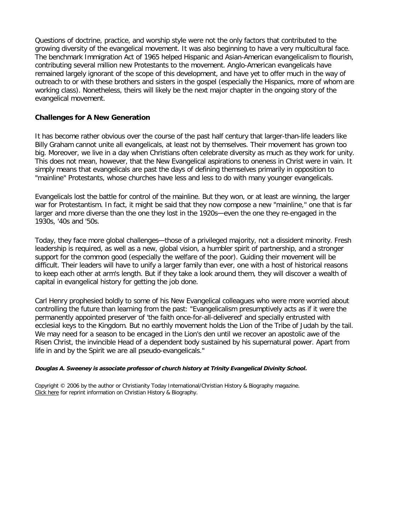Questions of doctrine, practice, and worship style were not the only factors that contributed to the growing diversity of the evangelical movement. It was also beginning to have a very multicultural face. The benchmark Immigration Act of 1965 helped Hispanic and Asian-American evangelicalism to flourish, contributing several million new Protestants to the movement. Anglo-American evangelicals have remained largely ignorant of the scope of this development, and have yet to offer much in the way of outreach to or with these brothers and sisters in the gospel (especially the Hispanics, more of whom are working class). Nonetheless, theirs will likely be the next major chapter in the ongoing story of the evangelical movement.

## **Challenges for A New Generation**

It has become rather obvious over the course of the past half century that larger-than-life leaders like Billy Graham cannot unite all evangelicals, at least not by themselves. Their movement has grown too big. Moreover, we live in a day when Christians often celebrate diversity as much as they work for unity. This does not mean, however, that the New Evangelical aspirations to oneness in Christ were in vain. It simply means that evangelicals are past the days of defining themselves primarily in opposition to "mainline" Protestants, whose churches have less and less to do with many younger evangelicals.

Evangelicals lost the battle for control of the mainline. But they won, or at least are winning, the larger war for Protestantism. In fact, it might be said that they now compose a new "mainline," one that is far larger and more diverse than the one they lost in the 1920s—even the one they re-engaged in the 1930s, '40s and '50s.

Today, they face more global challenges—those of a privileged majority, not a dissident minority. Fresh leadership is required, as well as a new, global vision, a humbler spirit of partnership, and a stronger support for the common good (especially the welfare of the poor). Guiding their movement will be difficult. Their leaders will have to unify a larger family than ever, one with a host of historical reasons to keep each other at arm's length. But if they take a look around them, they will discover a wealth of capital in evangelical history for getting the job done.

Carl Henry prophesied boldly to some of his New Evangelical colleagues who were more worried about controlling the future than learning from the past: "Evangelicalism presumptively acts as if it were the permanently appointed preserver of 'the faith once-for-all-delivered' and specially entrusted with ecclesial keys to the Kingdom. But no earthly movement holds the Lion of the Tribe of Judah by the tail. We may need for a season to be encaged in the Lion's den until we recover an apostolic awe of the Risen Christ, the invincible Head of a dependent body sustained by his supernatural power. Apart from life in and by the Spirit we are all pseudo-evangelicals."

#### **Douglas A. Sweeney is associate professor of church history at Trinity Evangelical Divinity School.**

Copyright © 2006 by the author or Christianity Today International/Christian History & Biography magazine. [Click here](http://www.christianitytoday.com/history/features/info.html#permission) for reprint information on Christian History & Biography.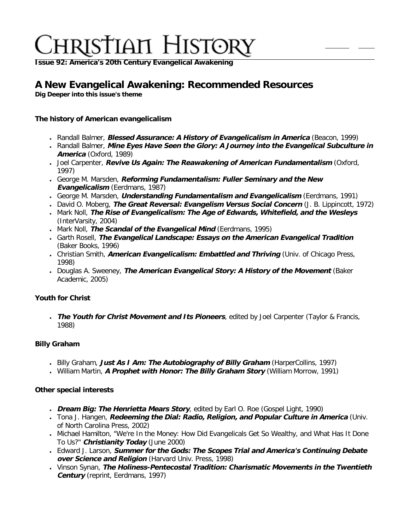**Issue 92: America'[s 20th Century Evangelical Awakening](http://ctlstaging/ch/cdrom/collection.html?id=3473)**

# **A New Evangelical Awakening: Recommended Resources**

**Dig Deeper into this issue's theme**

# **The history of American evangelicalism**

- Randall Balmer, **Blessed Assurance: A History of Evangelicalism in America** (Beacon, 1999)
- Randall Balmer, **Mine Eyes Have Seen the Glory: A Journey into the Evangelical Subculture in America** (Oxford, 1989)
- Joel Carpenter, **Revive Us Again: The Reawakening of American Fundamentalism** (Oxford, 1997)
- George M. Marsden, **Reforming Fundamentalism: Fuller Seminary and the New Evangelicalism** (Eerdmans, 1987)
- George M. Marsden, **Understanding Fundamentalism and Evangelicalism** (Eerdmans, 1991)
- David O. Moberg, **The Great Reversal: Evangelism Versus Social Concern** (J. B. Lippincott, 1972)
- Mark Noll, **The Rise of Evangelicalism: The Age of Edwards, Whitefield, and the Wesleys** (InterVarsity, 2004)
- Mark Noll, **The Scandal of the Evangelical Mind** (Eerdmans, 1995)
- Garth Rosell, **The Evangelical Landscape: Essays on the American Evangelical Tradition** (Baker Books, 1996)
- Christian Smith, *American Evangelicalism: Embattled and Thriving* (Univ. of Chicago Press, 1998)
- Douglas A. Sweeney, **The American Evangelical Story: A History of the Movement** (Baker Academic, 2005)

# **Youth for Christ**

● **The Youth for Christ Movement and Its Pioneers**, edited by Joel Carpenter (Taylor & Francis, 1988)

# **Billy Graham**

- Billy Graham, **Just As I Am: The Autobiography of Billy Graham** (HarperCollins, 1997)
- William Martin, **A Prophet with Honor: The Billy Graham Story** (William Morrow, 1991)

# **Other special interests**

- **Dream Big: The Henrietta Mears Story**, edited by Earl O. Roe (Gospel Light, 1990)
- Tona J. Hangen, **Redeeming the Dial: Radio, Religion, and Popular Culture in America** (Univ. of North Carolina Press, 2002)
- Michael Hamilton, "We're In the Money: How Did Evangelicals Get So Wealthy, and What Has It Done To Us?" **Christianity Today** (June 2000)
- Edward J. Larson, **Summer for the Gods: The Scopes Trial and America's Continuing Debate over Science and Religion** (Harvard Univ. Press, 1998)
- Vinson Synan, **The Holiness-Pentecostal Tradition: Charismatic Movements in the Twentieth Century** (reprint, Eerdmans, 1997)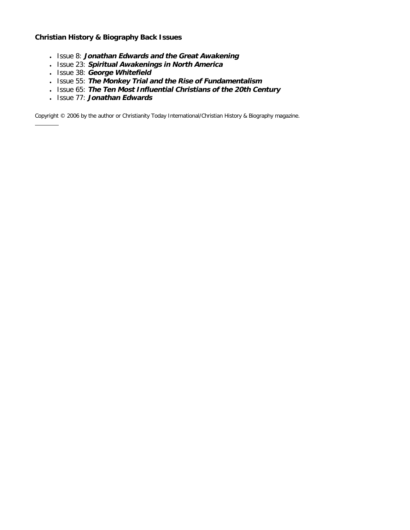# **Christian History & Biography Back Issues**

- Issue 8: **Jonathan Edwards and the Great Awakening**
- Issue 23: **Spiritual Awakenings in North America**
- Issue 38: **George Whitefield**
- Issue 55: **The Monkey Trial and the Rise of Fundamentalism**
- Issue 65: **The Ten Most Influential Christians of the 20th Century**
- Issue 77: **Jonathan Edwards**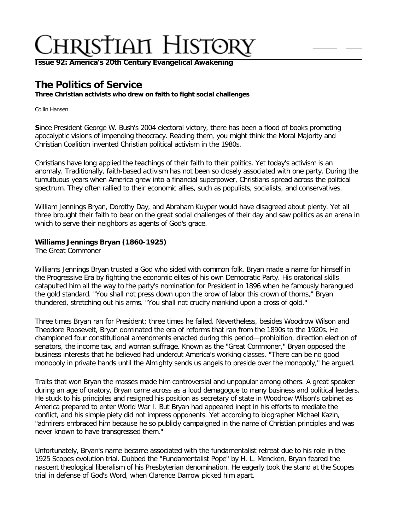**Issue 92: America'[s 20th Century Evangelical Awakening](http://ctlstaging/ch/cdrom/collection.html?id=3473)**

# **The Politics of Service**

**Three Christian activists who drew on faith to fight social challenges**

Collin Hansen

**S**ince President George W. Bush's 2004 electoral victory, there has been a flood of books promoting apocalyptic visions of impending theocracy. Reading them, you might think the Moral Majority and Christian Coalition invented Christian political activism in the 1980s.

Christians have long applied the teachings of their faith to their politics. Yet today's activism is an anomaly. Traditionally, faith-based activism has not been so closely associated with one party. During the tumultuous years when America grew into a financial superpower, Christians spread across the political spectrum. They often rallied to their economic allies, such as populists, socialists, and conservatives.

William Jennings Bryan, Dorothy Day, and Abraham Kuyper would have disagreed about plenty. Yet all three brought their faith to bear on the great social challenges of their day and saw politics as an arena in which to serve their neighbors as agents of God's grace.

# **Williams Jennings Bryan (1860-1925)**

The Great Commoner

Williams Jennings Bryan trusted a God who sided with common folk. Bryan made a name for himself in the Progressive Era by fighting the economic elites of his own Democratic Party. His oratorical skills catapulted him all the way to the party's nomination for President in 1896 when he famously harangued the gold standard. "You shall not press down upon the brow of labor this crown of thorns," Bryan thundered, stretching out his arms. "You shall not crucify mankind upon a cross of gold."

Three times Bryan ran for President; three times he failed. Nevertheless, besides Woodrow Wilson and Theodore Roosevelt, Bryan dominated the era of reforms that ran from the 1890s to the 1920s. He championed four constitutional amendments enacted during this period—prohibition, direction election of senators, the income tax, and woman suffrage. Known as the "Great Commoner," Bryan opposed the business interests that he believed had undercut America's working classes. "There can be no good monopoly in private hands until the Almighty sends us angels to preside over the monopoly," he argued.

Traits that won Bryan the masses made him controversial and unpopular among others. A great speaker during an age of oratory, Bryan came across as a loud demagogue to many business and political leaders. He stuck to his principles and resigned his position as secretary of state in Woodrow Wilson's cabinet as America prepared to enter World War I. But Bryan had appeared inept in his efforts to mediate the conflict, and his simple piety did not impress opponents. Yet according to biographer Michael Kazin, "admirers embraced him because he so publicly campaigned in the name of Christian principles and was never known to have transgressed them."

Unfortunately, Bryan's name became associated with the fundamentalist retreat due to his role in the 1925 Scopes evolution trial. Dubbed the "Fundamentalist Pope" by H. L. Mencken, Bryan feared the nascent theological liberalism of his Presbyterian denomination. He eagerly took the stand at the Scopes trial in defense of God's Word, when Clarence Darrow picked him apart.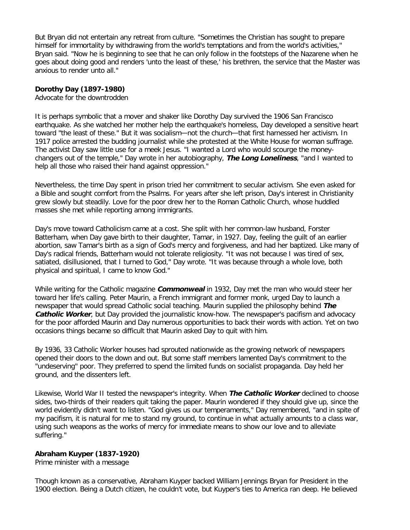But Bryan did not entertain any retreat from culture. "Sometimes the Christian has sought to prepare himself for immortality by withdrawing from the world's temptations and from the world's activities," Bryan said. "Now he is beginning to see that he can only follow in the footsteps of the Nazarene when he goes about doing good and renders 'unto the least of these,' his brethren, the service that the Master was anxious to render unto all."

#### **Dorothy Day (1897-1980)**

Advocate for the downtrodden

It is perhaps symbolic that a mover and shaker like Dorothy Day survived the 1906 San Francisco earthquake. As she watched her mother help the earthquake's homeless, Day developed a sensitive heart toward "the least of these." But it was socialism—not the church—that first harnessed her activism. In 1917 police arrested the budding journalist while she protested at the White House for woman suffrage. The activist Day saw little use for a meek Jesus. "I wanted a Lord who would scourge the moneychangers out of the temple," Day wrote in her autobiography, **The Long Loneliness**, "and I wanted to help all those who raised their hand against oppression."

Nevertheless, the time Day spent in prison tried her commitment to secular activism. She even asked for a Bible and sought comfort from the Psalms. For years after she left prison, Day's interest in Christianity grew slowly but steadily. Love for the poor drew her to the Roman Catholic Church, whose huddled masses she met while reporting among immigrants.

Day's move toward Catholicism came at a cost. She split with her common-law husband, Forster Batterham, when Day gave birth to their daughter, Tamar, in 1927. Day, feeling the guilt of an earlier abortion, saw Tamar's birth as a sign of God's mercy and forgiveness, and had her baptized. Like many of Day's radical friends, Batterham would not tolerate religiosity. "It was not because I was tired of sex, satiated, disillusioned, that I turned to God," Day wrote. "It was because through a whole love, both physical and spiritual, I came to know God."

While writing for the Catholic magazine **Commonweal** in 1932, Day met the man who would steer her toward her life's calling. Peter Maurin, a French immigrant and former monk, urged Day to launch a newspaper that would spread Catholic social teaching. Maurin supplied the philosophy behind **The Catholic Worker**, but Day provided the journalistic know-how. The newspaper's pacifism and advocacy for the poor afforded Maurin and Day numerous opportunities to back their words with action. Yet on two occasions things became so difficult that Maurin asked Day to quit with him.

By 1936, 33 Catholic Worker houses had sprouted nationwide as the growing network of newspapers opened their doors to the down and out. But some staff members lamented Day's commitment to the "undeserving" poor. They preferred to spend the limited funds on socialist propaganda. Day held her ground, and the dissenters left.

Likewise, World War II tested the newspaper's integrity. When **The Catholic Worker** declined to choose sides, two-thirds of their readers quit taking the paper. Maurin wondered if they should give up, since the world evidently didn't want to listen. "God gives us our temperaments," Day remembered, "and in spite of my pacifism, it is natural for me to stand my ground, to continue in what actually amounts to a class war, using such weapons as the works of mercy for immediate means to show our love and to alleviate suffering."

#### **Abraham Kuyper (1837-1920)**

Prime minister with a message

Though known as a conservative, Abraham Kuyper backed William Jennings Bryan for President in the 1900 election. Being a Dutch citizen, he couldn't vote, but Kuyper's ties to America ran deep. He believed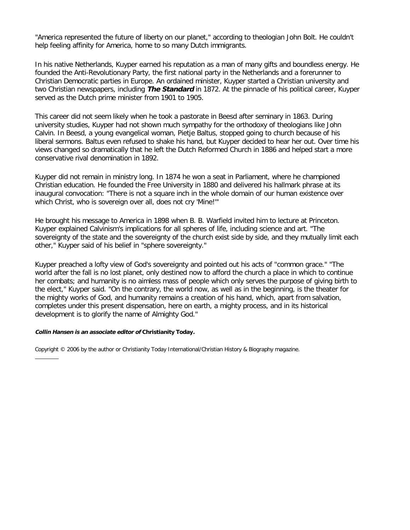"America represented the future of liberty on our planet," according to theologian John Bolt. He couldn't help feeling affinity for America, home to so many Dutch immigrants.

In his native Netherlands, Kuyper earned his reputation as a man of many gifts and boundless energy. He founded the Anti-Revolutionary Party, the first national party in the Netherlands and a forerunner to Christian Democratic parties in Europe. An ordained minister, Kuyper started a Christian university and two Christian newspapers, including **The Standard** in 1872. At the pinnacle of his political career, Kuyper served as the Dutch prime minister from 1901 to 1905.

This career did not seem likely when he took a pastorate in Beesd after seminary in 1863. During university studies, Kuyper had not shown much sympathy for the orthodoxy of theologians like John Calvin. In Beesd, a young evangelical woman, Pietje Baltus, stopped going to church because of his liberal sermons. Baltus even refused to shake his hand, but Kuyper decided to hear her out. Over time his views changed so dramatically that he left the Dutch Reformed Church in 1886 and helped start a more conservative rival denomination in 1892.

Kuyper did not remain in ministry long. In 1874 he won a seat in Parliament, where he championed Christian education. He founded the Free University in 1880 and delivered his hallmark phrase at its inaugural convocation: "There is not a square inch in the whole domain of our human existence over which Christ, who is sovereign over all, does not cry 'Mine!'"

He brought his message to America in 1898 when B. B. Warfield invited him to lecture at Princeton. Kuyper explained Calvinism's implications for all spheres of life, including science and art. "The sovereignty of the state and the sovereignty of the church exist side by side, and they mutually limit each other," Kuyper said of his belief in "sphere sovereignty."

Kuyper preached a lofty view of God's sovereignty and pointed out his acts of "common grace." "The world after the fall is no lost planet, only destined now to afford the church a place in which to continue her combats; and humanity is no aimless mass of people which only serves the purpose of giving birth to the elect," Kuyper said. "On the contrary, the world now, as well as in the beginning, is the theater for the mighty works of God, and humanity remains a creation of his hand, which, apart from salvation, completes under this present dispensation, here on earth, a mighty process, and in its historical development is to glorify the name of Almighty God."

#### **Collin Hansen is an associate editor of Christianity Today.**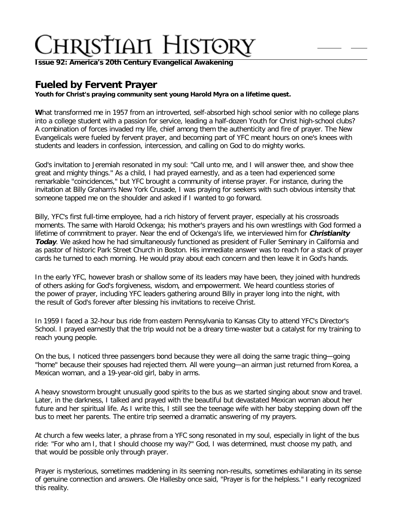**Issue 92: America'[s 20th Century Evangelical Awakening](http://ctlstaging/ch/cdrom/collection.html?id=3473)**

# **Fueled by Fervent Prayer**

**Youth for Christ's praying community sent young Harold Myra on a lifetime quest.**

**W**hat transformed me in 1957 from an introverted, self-absorbed high school senior with no college plans into a college student with a passion for service, leading a half-dozen Youth for Christ high-school clubs? A combination of forces invaded my life, chief among them the authenticity and fire of prayer. The New Evangelicals were fueled by fervent prayer, and becoming part of YFC meant hours on one's knees with students and leaders in confession, intercession, and calling on God to do mighty works.

God's invitation to Jeremiah resonated in my soul: "Call unto me, and I will answer thee, and show thee great and mighty things." As a child, I had prayed earnestly, and as a teen had experienced some remarkable "coincidences," but YFC brought a community of intense prayer. For instance, during the invitation at Billy Graham's New York Crusade, I was praying for seekers with such obvious intensity that someone tapped me on the shoulder and asked if I wanted to go forward.

Billy, YFC's first full-time employee, had a rich history of fervent prayer, especially at his crossroads moments. The same with Harold Ockenga; his mother's prayers and his own wrestlings with God formed a lifetime of commitment to prayer. Near the end of Ockenga's life, we interviewed him for **Christianity Today**. We asked how he had simultaneously functioned as president of Fuller Seminary in California and as pastor of historic Park Street Church in Boston. His immediate answer was to reach for a stack of prayer cards he turned to each morning. He would pray about each concern and then leave it in God's hands.

In the early YFC, however brash or shallow some of its leaders may have been, they joined with hundreds of others asking for God's forgiveness, wisdom, and empowerment. We heard countless stories of the power of prayer, including YFC leaders gathering around Billy in prayer long into the night, with the result of God's forever after blessing his invitations to receive Christ.

In 1959 I faced a 32-hour bus ride from eastern Pennsylvania to Kansas City to attend YFC's Director's School. I prayed earnestly that the trip would not be a dreary time-waster but a catalyst for my training to reach young people.

On the bus, I noticed three passengers bond because they were all doing the same tragic thing—going "home" because their spouses had rejected them. All were young—an airman just returned from Korea, a Mexican woman, and a 19-year-old girl, baby in arms.

A heavy snowstorm brought unusually good spirits to the bus as we started singing about snow and travel. Later, in the darkness, I talked and prayed with the beautiful but devastated Mexican woman about her future and her spiritual life. As I write this, I still see the teenage wife with her baby stepping down off the bus to meet her parents. The entire trip seemed a dramatic answering of my prayers.

At church a few weeks later, a phrase from a YFC song resonated in my soul, especially in light of the bus ride: "For who am I, that I should choose my way?" God, I was determined, must choose my path, and that would be possible only through prayer.

Prayer is mysterious, sometimes maddening in its seeming non-results, sometimes exhilarating in its sense of genuine connection and answers. Ole Hallesby once said, "Prayer is for the helpless." I early recognized this reality.